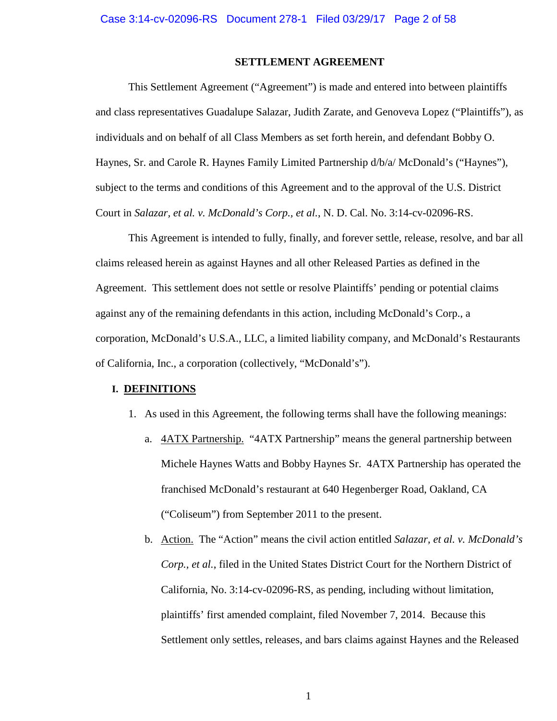# **SETTLEMENT AGREEMENT**

This Settlement Agreement ("Agreement") is made and entered into between plaintiffs and class representatives Guadalupe Salazar, Judith Zarate, and Genoveva Lopez ("Plaintiffs"), as individuals and on behalf of all Class Members as set forth herein, and defendant Bobby O. Haynes, Sr. and Carole R. Haynes Family Limited Partnership d/b/a/ McDonald's ("Haynes"), subject to the terms and conditions of this Agreement and to the approval of the U.S. District Court in *Salazar, et al. v. McDonald's Corp., et al.*, N. D. Cal. No. 3:14-cv-02096-RS.

This Agreement is intended to fully, finally, and forever settle, release, resolve, and bar all claims released herein as against Haynes and all other Released Parties as defined in the Agreement. This settlement does not settle or resolve Plaintiffs' pending or potential claims against any of the remaining defendants in this action, including McDonald's Corp., a corporation, McDonald's U.S.A., LLC, a limited liability company, and McDonald's Restaurants of California, Inc., a corporation (collectively, "McDonald's").

#### **I. DEFINITIONS**

- 1. As used in this Agreement, the following terms shall have the following meanings:
	- a. 4ATX Partnership. "4ATX Partnership" means the general partnership between Michele Haynes Watts and Bobby Haynes Sr. 4ATX Partnership has operated the franchised McDonald's restaurant at 640 Hegenberger Road, Oakland, CA ("Coliseum") from September 2011 to the present.
	- b. Action. The "Action" means the civil action entitled *Salazar, et al. v. McDonald's Corp., et al.*, filed in the United States District Court for the Northern District of California, No. 3:14-cv-02096-RS, as pending, including without limitation, plaintiffs' first amended complaint, filed November 7, 2014. Because this Settlement only settles, releases, and bars claims against Haynes and the Released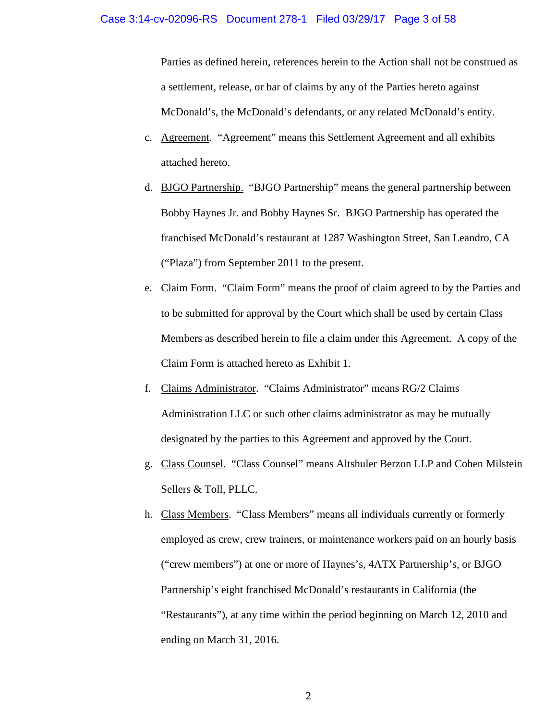Parties as defined herein, references herein to the Action shall not be construed as a settlement, release, or bar of claims by any of the Parties hereto against McDonald's, the McDonald's defendants, or any related McDonald's entity.

- c. Agreement. "Agreement" means this Settlement Agreement and all exhibits attached hereto.
- d. BJGO Partnership. "BJGO Partnership" means the general partnership between Bobby Haynes Jr. and Bobby Haynes Sr. BJGO Partnership has operated the franchised McDonald's restaurant at 1287 Washington Street, San Leandro, CA ("Plaza") from September 2011 to the present.
- e. Claim Form. "Claim Form" means the proof of claim agreed to by the Parties and to be submitted for approval by the Court which shall be used by certain Class Members as described herein to file a claim under this Agreement. A copy of the Claim Form is attached hereto as Exhibit 1.
- f. Claims Administrator. "Claims Administrator" means RG/2 Claims Administration LLC or such other claims administrator as may be mutually designated by the parties to this Agreement and approved by the Court.
- g. Class Counsel. "Class Counsel" means Altshuler Berzon LLP and Cohen Milstein Sellers & Toll, PLLC.
- h. Class Members. "Class Members" means all individuals currently or formerly employed as crew, crew trainers, or maintenance workers paid on an hourly basis ("crew members") at one or more of Haynes's, 4ATX Partnership's, or BJGO Partnership's eight franchised McDonald's restaurants in California (the "Restaurants"), at any time within the period beginning on March 12, 2010 and ending on March 31, 2016.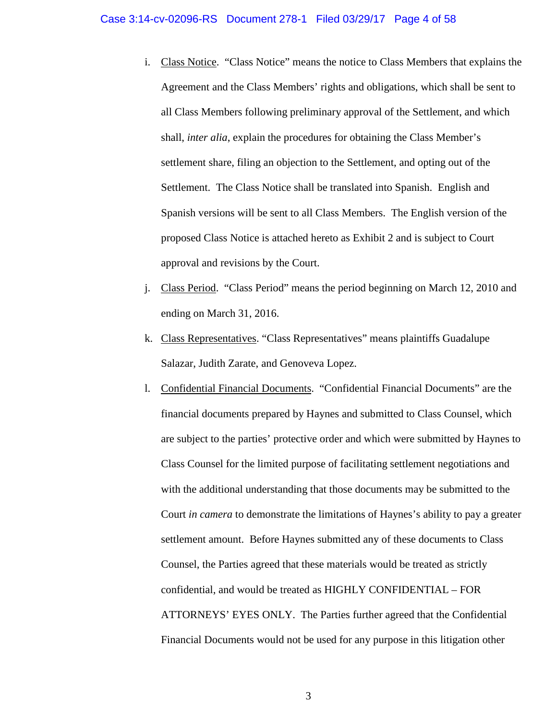- i. Class Notice. "Class Notice" means the notice to Class Members that explains the Agreement and the Class Members' rights and obligations, which shall be sent to all Class Members following preliminary approval of the Settlement, and which shall, *inter alia*, explain the procedures for obtaining the Class Member's settlement share, filing an objection to the Settlement, and opting out of the Settlement. The Class Notice shall be translated into Spanish. English and Spanish versions will be sent to all Class Members. The English version of the proposed Class Notice is attached hereto as Exhibit 2 and is subject to Court approval and revisions by the Court.
- j. Class Period. "Class Period" means the period beginning on March 12, 2010 and ending on March 31, 2016.
- k. Class Representatives. "Class Representatives" means plaintiffs Guadalupe Salazar, Judith Zarate, and Genoveva Lopez.
- l. Confidential Financial Documents. "Confidential Financial Documents" are the financial documents prepared by Haynes and submitted to Class Counsel, which are subject to the parties' protective order and which were submitted by Haynes to Class Counsel for the limited purpose of facilitating settlement negotiations and with the additional understanding that those documents may be submitted to the Court *in camera* to demonstrate the limitations of Haynes's ability to pay a greater settlement amount. Before Haynes submitted any of these documents to Class Counsel, the Parties agreed that these materials would be treated as strictly confidential, and would be treated as HIGHLY CONFIDENTIAL – FOR ATTORNEYS' EYES ONLY. The Parties further agreed that the Confidential Financial Documents would not be used for any purpose in this litigation other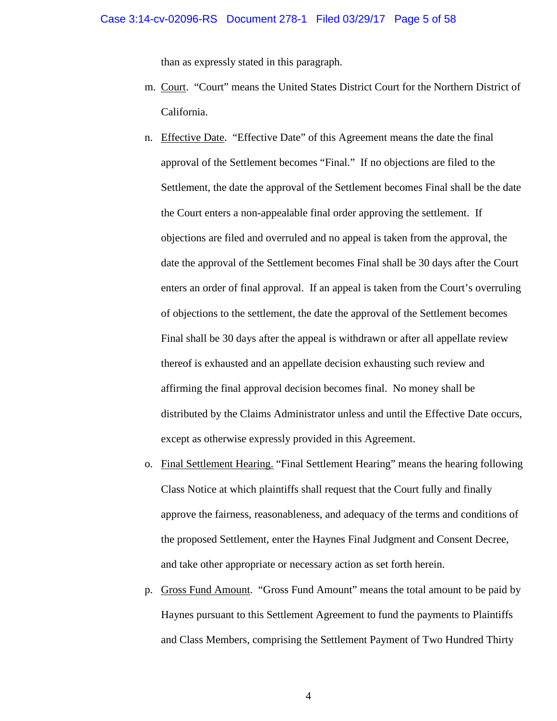than as expressly stated in this paragraph.

- m. Court. "Court" means the United States District Court for the Northern District of California.
- n. Effective Date. "Effective Date" of this Agreement means the date the final approval of the Settlement becomes "Final." If no objections are filed to the Settlement, the date the approval of the Settlement becomes Final shall be the date the Court enters a non-appealable final order approving the settlement. If objections are filed and overruled and no appeal is taken from the approval, the date the approval of the Settlement becomes Final shall be 30 days after the Court enters an order of final approval. If an appeal is taken from the Court's overruling of objections to the settlement, the date the approval of the Settlement becomes Final shall be 30 days after the appeal is withdrawn or after all appellate review thereof is exhausted and an appellate decision exhausting such review and affirming the final approval decision becomes final. No money shall be distributed by the Claims Administrator unless and until the Effective Date occurs, except as otherwise expressly provided in this Agreement.
- o. Final Settlement Hearing. "Final Settlement Hearing" means the hearing following Class Notice at which plaintiffs shall request that the Court fully and finally approve the fairness, reasonableness, and adequacy of the terms and conditions of the proposed Settlement, enter the Haynes Final Judgment and Consent Decree, and take other appropriate or necessary action as set forth herein.
- p. Gross Fund Amount. "Gross Fund Amount" means the total amount to be paid by Haynes pursuant to this Settlement Agreement to fund the payments to Plaintiffs and Class Members, comprising the Settlement Payment of Two Hundred Thirty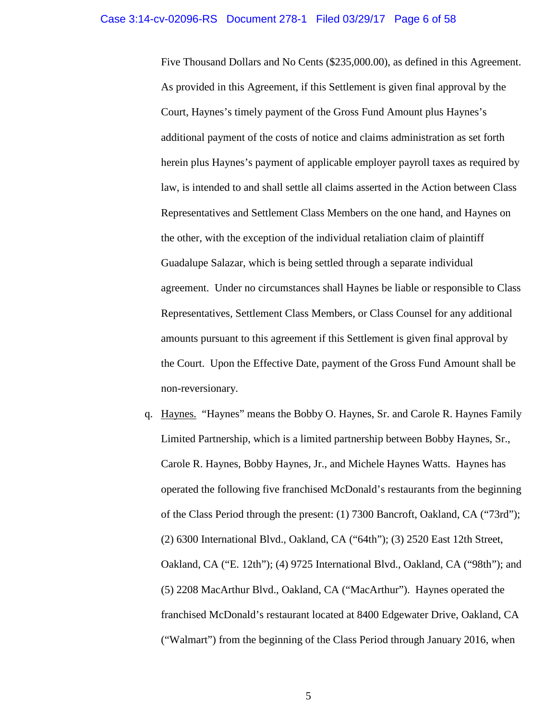Five Thousand Dollars and No Cents (\$235,000.00), as defined in this Agreement. As provided in this Agreement, if this Settlement is given final approval by the Court, Haynes's timely payment of the Gross Fund Amount plus Haynes's additional payment of the costs of notice and claims administration as set forth herein plus Haynes's payment of applicable employer payroll taxes as required by law, is intended to and shall settle all claims asserted in the Action between Class Representatives and Settlement Class Members on the one hand, and Haynes on the other, with the exception of the individual retaliation claim of plaintiff Guadalupe Salazar, which is being settled through a separate individual agreement. Under no circumstances shall Haynes be liable or responsible to Class Representatives, Settlement Class Members, or Class Counsel for any additional amounts pursuant to this agreement if this Settlement is given final approval by the Court. Upon the Effective Date, payment of the Gross Fund Amount shall be non-reversionary.

q. Haynes. "Haynes" means the Bobby O. Haynes, Sr. and Carole R. Haynes Family Limited Partnership, which is a limited partnership between Bobby Haynes, Sr., Carole R. Haynes, Bobby Haynes, Jr., and Michele Haynes Watts. Haynes has operated the following five franchised McDonald's restaurants from the beginning of the Class Period through the present: (1) 7300 Bancroft, Oakland, CA ("73rd"); (2) 6300 International Blvd., Oakland, CA ("64th"); (3) 2520 East 12th Street, Oakland, CA ("E. 12th"); (4) 9725 International Blvd., Oakland, CA ("98th"); and (5) 2208 MacArthur Blvd., Oakland, CA ("MacArthur"). Haynes operated the franchised McDonald's restaurant located at 8400 Edgewater Drive, Oakland, CA ("Walmart") from the beginning of the Class Period through January 2016, when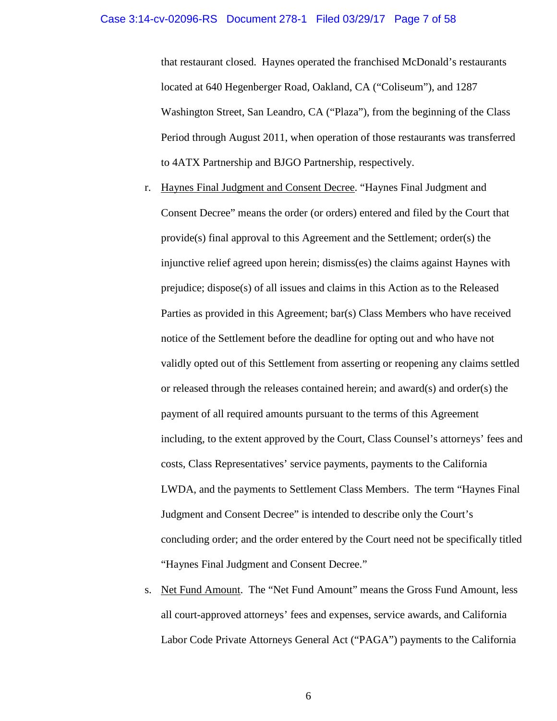## Case 3:14-cv-02096-RS Document 278-1 Filed 03/29/17 Page 7 of 58

that restaurant closed. Haynes operated the franchised McDonald's restaurants located at 640 Hegenberger Road, Oakland, CA ("Coliseum"), and 1287 Washington Street, San Leandro, CA ("Plaza"), from the beginning of the Class Period through August 2011, when operation of those restaurants was transferred to 4ATX Partnership and BJGO Partnership, respectively.

- r. Haynes Final Judgment and Consent Decree. "Haynes Final Judgment and Consent Decree" means the order (or orders) entered and filed by the Court that provide(s) final approval to this Agreement and the Settlement; order(s) the injunctive relief agreed upon herein; dismiss(es) the claims against Haynes with prejudice; dispose(s) of all issues and claims in this Action as to the Released Parties as provided in this Agreement; bar(s) Class Members who have received notice of the Settlement before the deadline for opting out and who have not validly opted out of this Settlement from asserting or reopening any claims settled or released through the releases contained herein; and award(s) and order(s) the payment of all required amounts pursuant to the terms of this Agreement including, to the extent approved by the Court, Class Counsel's attorneys' fees and costs, Class Representatives' service payments, payments to the California LWDA, and the payments to Settlement Class Members. The term "Haynes Final Judgment and Consent Decree" is intended to describe only the Court's concluding order; and the order entered by the Court need not be specifically titled "Haynes Final Judgment and Consent Decree."
- s. Net Fund Amount. The "Net Fund Amount" means the Gross Fund Amount, less all court-approved attorneys' fees and expenses, service awards, and California Labor Code Private Attorneys General Act ("PAGA") payments to the California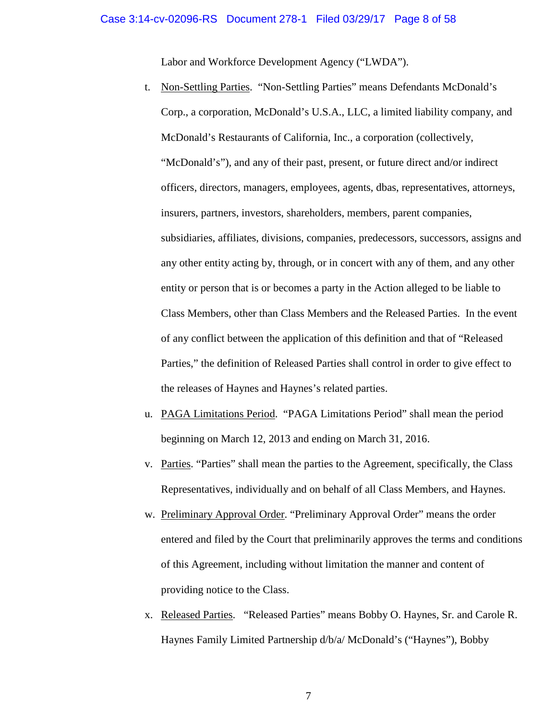Labor and Workforce Development Agency ("LWDA").

- t. Non-Settling Parties. "Non-Settling Parties" means Defendants McDonald's Corp., a corporation, McDonald's U.S.A., LLC, a limited liability company, and McDonald's Restaurants of California, Inc., a corporation (collectively, "McDonald's"), and any of their past, present, or future direct and/or indirect officers, directors, managers, employees, agents, dbas, representatives, attorneys, insurers, partners, investors, shareholders, members, parent companies, subsidiaries, affiliates, divisions, companies, predecessors, successors, assigns and any other entity acting by, through, or in concert with any of them, and any other entity or person that is or becomes a party in the Action alleged to be liable to Class Members, other than Class Members and the Released Parties. In the event of any conflict between the application of this definition and that of "Released Parties," the definition of Released Parties shall control in order to give effect to the releases of Haynes and Haynes's related parties.
- u. PAGA Limitations Period. "PAGA Limitations Period" shall mean the period beginning on March 12, 2013 and ending on March 31, 2016.
- v. Parties. "Parties" shall mean the parties to the Agreement, specifically, the Class Representatives, individually and on behalf of all Class Members, and Haynes.
- w. Preliminary Approval Order. "Preliminary Approval Order" means the order entered and filed by the Court that preliminarily approves the terms and conditions of this Agreement, including without limitation the manner and content of providing notice to the Class.
- x. Released Parties. "Released Parties" means Bobby O. Haynes, Sr. and Carole R. Haynes Family Limited Partnership d/b/a/ McDonald's ("Haynes"), Bobby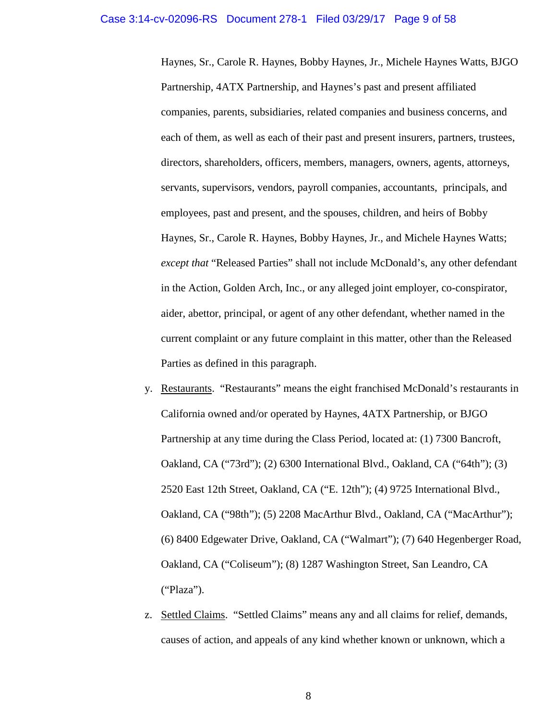Haynes, Sr., Carole R. Haynes, Bobby Haynes, Jr., Michele Haynes Watts, BJGO Partnership, 4ATX Partnership, and Haynes's past and present affiliated companies, parents, subsidiaries, related companies and business concerns, and each of them, as well as each of their past and present insurers, partners, trustees, directors, shareholders, officers, members, managers, owners, agents, attorneys, servants, supervisors, vendors, payroll companies, accountants, principals, and employees, past and present, and the spouses, children, and heirs of Bobby Haynes, Sr., Carole R. Haynes, Bobby Haynes, Jr., and Michele Haynes Watts; *except that* "Released Parties" shall not include McDonald's, any other defendant in the Action, Golden Arch, Inc., or any alleged joint employer, co-conspirator, aider, abettor, principal, or agent of any other defendant, whether named in the current complaint or any future complaint in this matter, other than the Released Parties as defined in this paragraph.

- y. Restaurants. "Restaurants" means the eight franchised McDonald's restaurants in California owned and/or operated by Haynes, 4ATX Partnership, or BJGO Partnership at any time during the Class Period, located at: (1) 7300 Bancroft, Oakland, CA ("73rd"); (2) 6300 International Blvd., Oakland, CA ("64th"); (3) 2520 East 12th Street, Oakland, CA ("E. 12th"); (4) 9725 International Blvd., Oakland, CA ("98th"); (5) 2208 MacArthur Blvd., Oakland, CA ("MacArthur"); (6) 8400 Edgewater Drive, Oakland, CA ("Walmart"); (7) 640 Hegenberger Road, Oakland, CA ("Coliseum"); (8) 1287 Washington Street, San Leandro, CA ("Plaza").
- z. Settled Claims. "Settled Claims" means any and all claims for relief, demands, causes of action, and appeals of any kind whether known or unknown, which a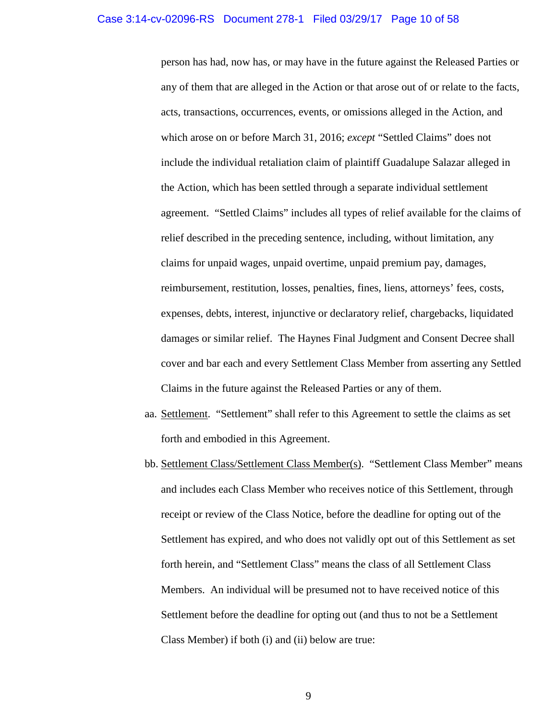## Case 3:14-cv-02096-RS Document 278-1 Filed 03/29/17 Page 10 of 58

person has had, now has, or may have in the future against the Released Parties or any of them that are alleged in the Action or that arose out of or relate to the facts, acts, transactions, occurrences, events, or omissions alleged in the Action, and which arose on or before March 31, 2016; *except* "Settled Claims" does not include the individual retaliation claim of plaintiff Guadalupe Salazar alleged in the Action, which has been settled through a separate individual settlement agreement. "Settled Claims" includes all types of relief available for the claims of relief described in the preceding sentence, including, without limitation, any claims for unpaid wages, unpaid overtime, unpaid premium pay, damages, reimbursement, restitution, losses, penalties, fines, liens, attorneys' fees, costs, expenses, debts, interest, injunctive or declaratory relief, chargebacks, liquidated damages or similar relief. The Haynes Final Judgment and Consent Decree shall cover and bar each and every Settlement Class Member from asserting any Settled Claims in the future against the Released Parties or any of them.

- aa. Settlement. "Settlement" shall refer to this Agreement to settle the claims as set forth and embodied in this Agreement.
- bb. Settlement Class/Settlement Class Member(s). "Settlement Class Member" means and includes each Class Member who receives notice of this Settlement, through receipt or review of the Class Notice, before the deadline for opting out of the Settlement has expired, and who does not validly opt out of this Settlement as set forth herein, and "Settlement Class" means the class of all Settlement Class Members. An individual will be presumed not to have received notice of this Settlement before the deadline for opting out (and thus to not be a Settlement Class Member) if both (i) and (ii) below are true: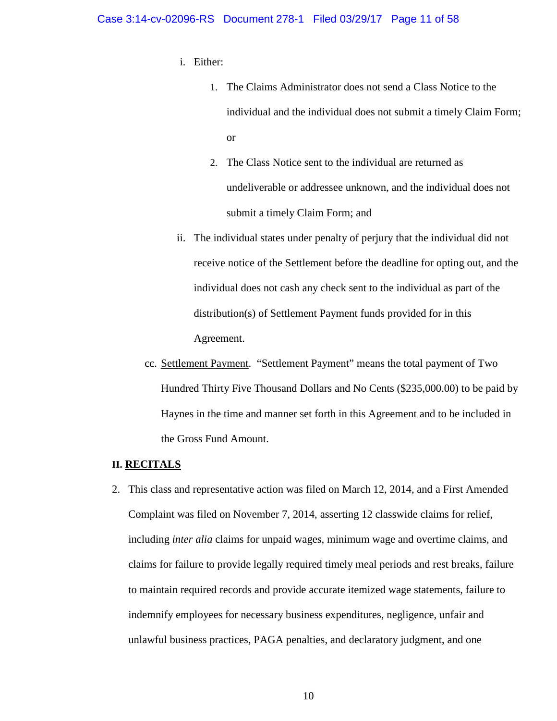## Case 3:14-cv-02096-RS Document 278-1 Filed 03/29/17 Page 11 of 58

- i. Either:
	- 1. The Claims Administrator does not send a Class Notice to the individual and the individual does not submit a timely Claim Form; or
	- 2. The Class Notice sent to the individual are returned as undeliverable or addressee unknown, and the individual does not submit a timely Claim Form; and
- ii. The individual states under penalty of perjury that the individual did not receive notice of the Settlement before the deadline for opting out, and the individual does not cash any check sent to the individual as part of the distribution(s) of Settlement Payment funds provided for in this Agreement.
- cc. Settlement Payment. "Settlement Payment" means the total payment of Two Hundred Thirty Five Thousand Dollars and No Cents (\$235,000.00) to be paid by Haynes in the time and manner set forth in this Agreement and to be included in the Gross Fund Amount.

# **II. RECITALS**

2. This class and representative action was filed on March 12, 2014, and a First Amended Complaint was filed on November 7, 2014, asserting 12 classwide claims for relief, including *inter alia* claims for unpaid wages, minimum wage and overtime claims, and claims for failure to provide legally required timely meal periods and rest breaks, failure to maintain required records and provide accurate itemized wage statements, failure to indemnify employees for necessary business expenditures, negligence, unfair and unlawful business practices, PAGA penalties, and declaratory judgment, and one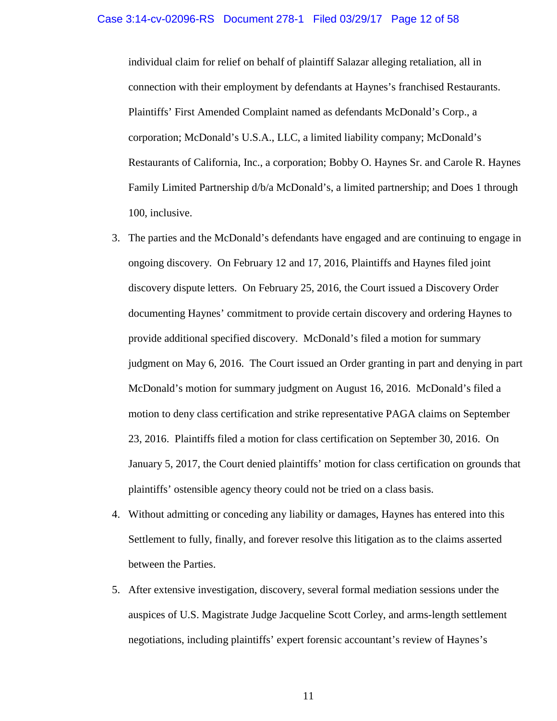#### Case 3:14-cv-02096-RS Document 278-1 Filed 03/29/17 Page 12 of 58

individual claim for relief on behalf of plaintiff Salazar alleging retaliation, all in connection with their employment by defendants at Haynes's franchised Restaurants. Plaintiffs' First Amended Complaint named as defendants McDonald's Corp., a corporation; McDonald's U.S.A., LLC, a limited liability company; McDonald's Restaurants of California, Inc., a corporation; Bobby O. Haynes Sr. and Carole R. Haynes Family Limited Partnership d/b/a McDonald's, a limited partnership; and Does 1 through 100, inclusive.

- 3. The parties and the McDonald's defendants have engaged and are continuing to engage in ongoing discovery. On February 12 and 17, 2016, Plaintiffs and Haynes filed joint discovery dispute letters. On February 25, 2016, the Court issued a Discovery Order documenting Haynes' commitment to provide certain discovery and ordering Haynes to provide additional specified discovery. McDonald's filed a motion for summary judgment on May 6, 2016. The Court issued an Order granting in part and denying in part McDonald's motion for summary judgment on August 16, 2016. McDonald's filed a motion to deny class certification and strike representative PAGA claims on September 23, 2016. Plaintiffs filed a motion for class certification on September 30, 2016. On January 5, 2017, the Court denied plaintiffs' motion for class certification on grounds that plaintiffs' ostensible agency theory could not be tried on a class basis.
- 4. Without admitting or conceding any liability or damages, Haynes has entered into this Settlement to fully, finally, and forever resolve this litigation as to the claims asserted between the Parties.
- 5. After extensive investigation, discovery, several formal mediation sessions under the auspices of U.S. Magistrate Judge Jacqueline Scott Corley, and arms-length settlement negotiations, including plaintiffs' expert forensic accountant's review of Haynes's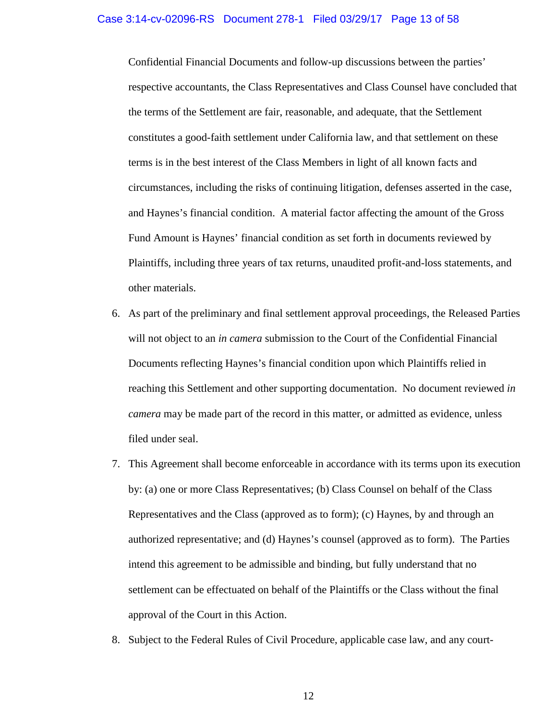Confidential Financial Documents and follow-up discussions between the parties' respective accountants, the Class Representatives and Class Counsel have concluded that the terms of the Settlement are fair, reasonable, and adequate, that the Settlement constitutes a good-faith settlement under California law, and that settlement on these terms is in the best interest of the Class Members in light of all known facts and circumstances, including the risks of continuing litigation, defenses asserted in the case, and Haynes's financial condition. A material factor affecting the amount of the Gross Fund Amount is Haynes' financial condition as set forth in documents reviewed by Plaintiffs, including three years of tax returns, unaudited profit-and-loss statements, and other materials.

- 6. As part of the preliminary and final settlement approval proceedings, the Released Parties will not object to an *in camera* submission to the Court of the Confidential Financial Documents reflecting Haynes's financial condition upon which Plaintiffs relied in reaching this Settlement and other supporting documentation. No document reviewed *in camera* may be made part of the record in this matter, or admitted as evidence, unless filed under seal.
- 7. This Agreement shall become enforceable in accordance with its terms upon its execution by: (a) one or more Class Representatives; (b) Class Counsel on behalf of the Class Representatives and the Class (approved as to form); (c) Haynes, by and through an authorized representative; and (d) Haynes's counsel (approved as to form). The Parties intend this agreement to be admissible and binding, but fully understand that no settlement can be effectuated on behalf of the Plaintiffs or the Class without the final approval of the Court in this Action.
- 8. Subject to the Federal Rules of Civil Procedure, applicable case law, and any court-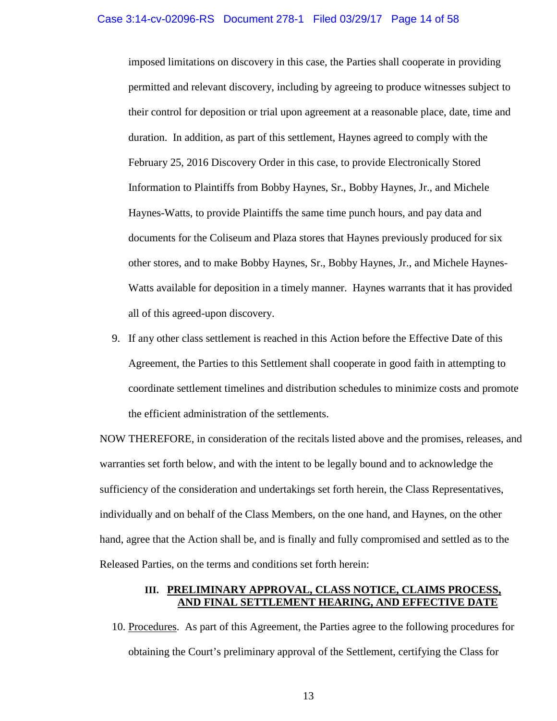imposed limitations on discovery in this case, the Parties shall cooperate in providing permitted and relevant discovery, including by agreeing to produce witnesses subject to their control for deposition or trial upon agreement at a reasonable place, date, time and duration. In addition, as part of this settlement, Haynes agreed to comply with the February 25, 2016 Discovery Order in this case, to provide Electronically Stored Information to Plaintiffs from Bobby Haynes, Sr., Bobby Haynes, Jr., and Michele Haynes-Watts, to provide Plaintiffs the same time punch hours, and pay data and documents for the Coliseum and Plaza stores that Haynes previously produced for six other stores, and to make Bobby Haynes, Sr., Bobby Haynes, Jr., and Michele Haynes-Watts available for deposition in a timely manner. Haynes warrants that it has provided all of this agreed-upon discovery.

9. If any other class settlement is reached in this Action before the Effective Date of this Agreement, the Parties to this Settlement shall cooperate in good faith in attempting to coordinate settlement timelines and distribution schedules to minimize costs and promote the efficient administration of the settlements.

NOW THEREFORE, in consideration of the recitals listed above and the promises, releases, and warranties set forth below, and with the intent to be legally bound and to acknowledge the sufficiency of the consideration and undertakings set forth herein, the Class Representatives, individually and on behalf of the Class Members, on the one hand, and Haynes, on the other hand, agree that the Action shall be, and is finally and fully compromised and settled as to the Released Parties, on the terms and conditions set forth herein:

# **III. PRELIMINARY APPROVAL, CLASS NOTICE, CLAIMS PROCESS, AND FINAL SETTLEMENT HEARING, AND EFFECTIVE DATE**

10. Procedures. As part of this Agreement, the Parties agree to the following procedures for obtaining the Court's preliminary approval of the Settlement, certifying the Class for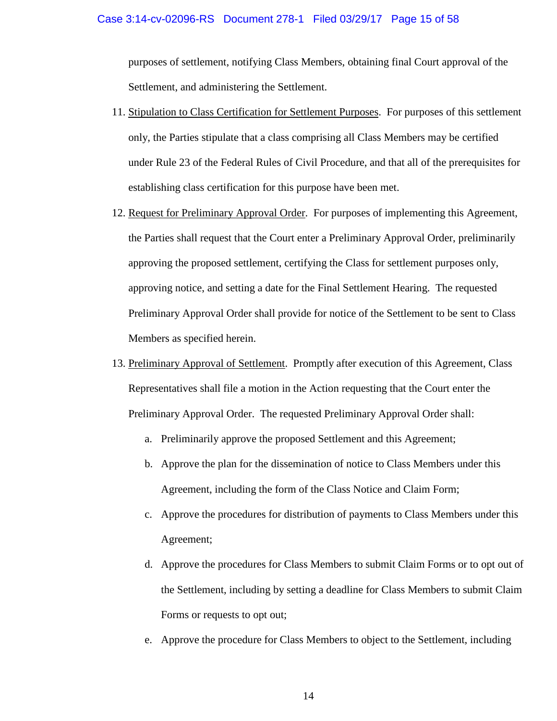purposes of settlement, notifying Class Members, obtaining final Court approval of the Settlement, and administering the Settlement.

- 11. Stipulation to Class Certification for Settlement Purposes. For purposes of this settlement only, the Parties stipulate that a class comprising all Class Members may be certified under Rule 23 of the Federal Rules of Civil Procedure, and that all of the prerequisites for establishing class certification for this purpose have been met.
- 12. Request for Preliminary Approval Order. For purposes of implementing this Agreement, the Parties shall request that the Court enter a Preliminary Approval Order, preliminarily approving the proposed settlement, certifying the Class for settlement purposes only, approving notice, and setting a date for the Final Settlement Hearing. The requested Preliminary Approval Order shall provide for notice of the Settlement to be sent to Class Members as specified herein.
- 13. Preliminary Approval of Settlement. Promptly after execution of this Agreement, Class Representatives shall file a motion in the Action requesting that the Court enter the Preliminary Approval Order. The requested Preliminary Approval Order shall:
	- a. Preliminarily approve the proposed Settlement and this Agreement;
	- b. Approve the plan for the dissemination of notice to Class Members under this Agreement, including the form of the Class Notice and Claim Form;
	- c. Approve the procedures for distribution of payments to Class Members under this Agreement;
	- d. Approve the procedures for Class Members to submit Claim Forms or to opt out of the Settlement, including by setting a deadline for Class Members to submit Claim Forms or requests to opt out;
	- e. Approve the procedure for Class Members to object to the Settlement, including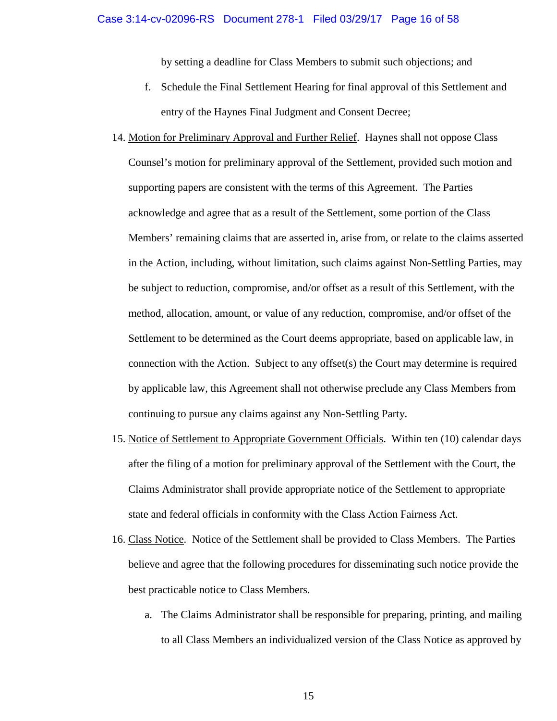by setting a deadline for Class Members to submit such objections; and

- f. Schedule the Final Settlement Hearing for final approval of this Settlement and entry of the Haynes Final Judgment and Consent Decree;
- 14. Motion for Preliminary Approval and Further Relief. Haynes shall not oppose Class Counsel's motion for preliminary approval of the Settlement, provided such motion and supporting papers are consistent with the terms of this Agreement. The Parties acknowledge and agree that as a result of the Settlement, some portion of the Class Members' remaining claims that are asserted in, arise from, or relate to the claims asserted in the Action, including, without limitation, such claims against Non-Settling Parties, may be subject to reduction, compromise, and/or offset as a result of this Settlement, with the method, allocation, amount, or value of any reduction, compromise, and/or offset of the Settlement to be determined as the Court deems appropriate, based on applicable law, in connection with the Action. Subject to any offset(s) the Court may determine is required by applicable law, this Agreement shall not otherwise preclude any Class Members from continuing to pursue any claims against any Non-Settling Party.
- 15. Notice of Settlement to Appropriate Government Officials. Within ten (10) calendar days after the filing of a motion for preliminary approval of the Settlement with the Court, the Claims Administrator shall provide appropriate notice of the Settlement to appropriate state and federal officials in conformity with the Class Action Fairness Act.
- 16. Class Notice. Notice of the Settlement shall be provided to Class Members. The Parties believe and agree that the following procedures for disseminating such notice provide the best practicable notice to Class Members.
	- a. The Claims Administrator shall be responsible for preparing, printing, and mailing to all Class Members an individualized version of the Class Notice as approved by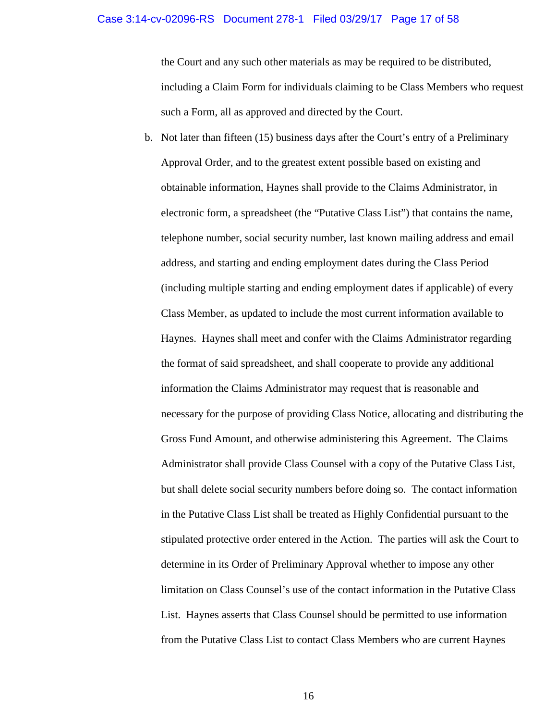#### Case 3:14-cv-02096-RS Document 278-1 Filed 03/29/17 Page 17 of 58

the Court and any such other materials as may be required to be distributed, including a Claim Form for individuals claiming to be Class Members who request such a Form, all as approved and directed by the Court.

b. Not later than fifteen (15) business days after the Court's entry of a Preliminary Approval Order, and to the greatest extent possible based on existing and obtainable information, Haynes shall provide to the Claims Administrator, in electronic form, a spreadsheet (the "Putative Class List") that contains the name, telephone number, social security number, last known mailing address and email address, and starting and ending employment dates during the Class Period (including multiple starting and ending employment dates if applicable) of every Class Member, as updated to include the most current information available to Haynes. Haynes shall meet and confer with the Claims Administrator regarding the format of said spreadsheet, and shall cooperate to provide any additional information the Claims Administrator may request that is reasonable and necessary for the purpose of providing Class Notice, allocating and distributing the Gross Fund Amount, and otherwise administering this Agreement. The Claims Administrator shall provide Class Counsel with a copy of the Putative Class List, but shall delete social security numbers before doing so. The contact information in the Putative Class List shall be treated as Highly Confidential pursuant to the stipulated protective order entered in the Action. The parties will ask the Court to determine in its Order of Preliminary Approval whether to impose any other limitation on Class Counsel's use of the contact information in the Putative Class List. Haynes asserts that Class Counsel should be permitted to use information from the Putative Class List to contact Class Members who are current Haynes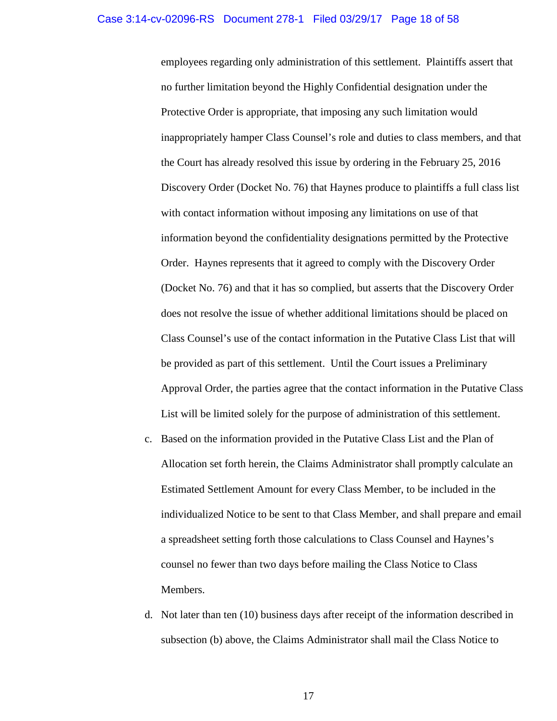employees regarding only administration of this settlement. Plaintiffs assert that no further limitation beyond the Highly Confidential designation under the Protective Order is appropriate, that imposing any such limitation would inappropriately hamper Class Counsel's role and duties to class members, and that the Court has already resolved this issue by ordering in the February 25, 2016 Discovery Order (Docket No. 76) that Haynes produce to plaintiffs a full class list with contact information without imposing any limitations on use of that information beyond the confidentiality designations permitted by the Protective Order. Haynes represents that it agreed to comply with the Discovery Order (Docket No. 76) and that it has so complied, but asserts that the Discovery Order does not resolve the issue of whether additional limitations should be placed on Class Counsel's use of the contact information in the Putative Class List that will be provided as part of this settlement. Until the Court issues a Preliminary Approval Order, the parties agree that the contact information in the Putative Class List will be limited solely for the purpose of administration of this settlement.

- c. Based on the information provided in the Putative Class List and the Plan of Allocation set forth herein, the Claims Administrator shall promptly calculate an Estimated Settlement Amount for every Class Member, to be included in the individualized Notice to be sent to that Class Member, and shall prepare and email a spreadsheet setting forth those calculations to Class Counsel and Haynes's counsel no fewer than two days before mailing the Class Notice to Class Members.
- d. Not later than ten (10) business days after receipt of the information described in subsection (b) above, the Claims Administrator shall mail the Class Notice to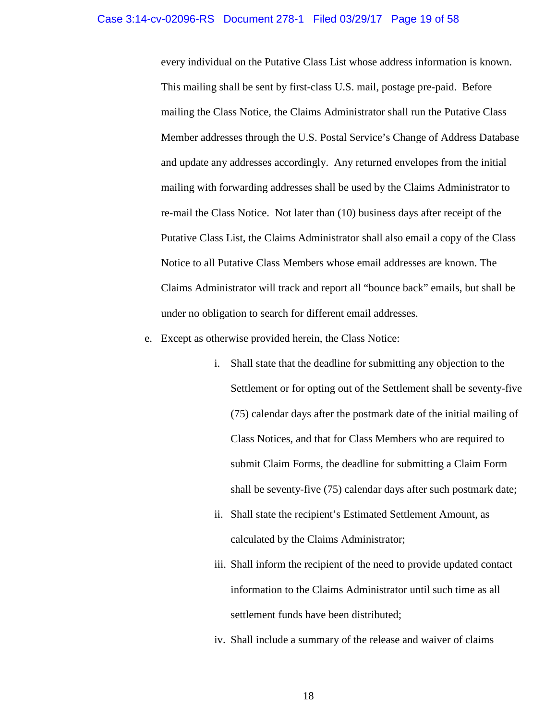# Case 3:14-cv-02096-RS Document 278-1 Filed 03/29/17 Page 19 of 58

every individual on the Putative Class List whose address information is known. This mailing shall be sent by first-class U.S. mail, postage pre-paid. Before mailing the Class Notice, the Claims Administrator shall run the Putative Class Member addresses through the U.S. Postal Service's Change of Address Database and update any addresses accordingly. Any returned envelopes from the initial mailing with forwarding addresses shall be used by the Claims Administrator to re-mail the Class Notice. Not later than (10) business days after receipt of the Putative Class List, the Claims Administrator shall also email a copy of the Class Notice to all Putative Class Members whose email addresses are known. The Claims Administrator will track and report all "bounce back" emails, but shall be under no obligation to search for different email addresses.

- e. Except as otherwise provided herein, the Class Notice:
	- i. Shall state that the deadline for submitting any objection to the Settlement or for opting out of the Settlement shall be seventy-five (75) calendar days after the postmark date of the initial mailing of Class Notices, and that for Class Members who are required to submit Claim Forms, the deadline for submitting a Claim Form shall be seventy-five (75) calendar days after such postmark date;
	- ii. Shall state the recipient's Estimated Settlement Amount, as calculated by the Claims Administrator;
	- iii. Shall inform the recipient of the need to provide updated contact information to the Claims Administrator until such time as all settlement funds have been distributed;
	- iv. Shall include a summary of the release and waiver of claims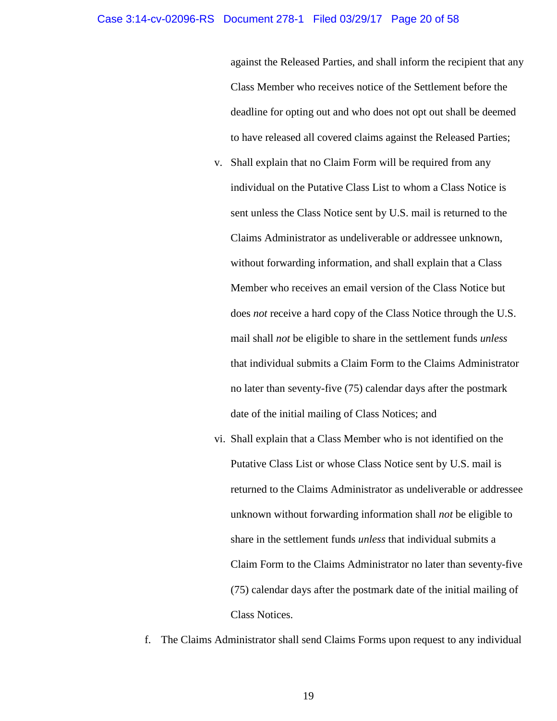#### Case 3:14-cv-02096-RS Document 278-1 Filed 03/29/17 Page 20 of 58

against the Released Parties, and shall inform the recipient that any Class Member who receives notice of the Settlement before the deadline for opting out and who does not opt out shall be deemed to have released all covered claims against the Released Parties;

- v. Shall explain that no Claim Form will be required from any individual on the Putative Class List to whom a Class Notice is sent unless the Class Notice sent by U.S. mail is returned to the Claims Administrator as undeliverable or addressee unknown, without forwarding information, and shall explain that a Class Member who receives an email version of the Class Notice but does *not* receive a hard copy of the Class Notice through the U.S. mail shall *not* be eligible to share in the settlement funds *unless* that individual submits a Claim Form to the Claims Administrator no later than seventy-five (75) calendar days after the postmark date of the initial mailing of Class Notices; and
- vi. Shall explain that a Class Member who is not identified on the Putative Class List or whose Class Notice sent by U.S. mail is returned to the Claims Administrator as undeliverable or addressee unknown without forwarding information shall *not* be eligible to share in the settlement funds *unless* that individual submits a Claim Form to the Claims Administrator no later than seventy-five (75) calendar days after the postmark date of the initial mailing of Class Notices.
- f. The Claims Administrator shall send Claims Forms upon request to any individual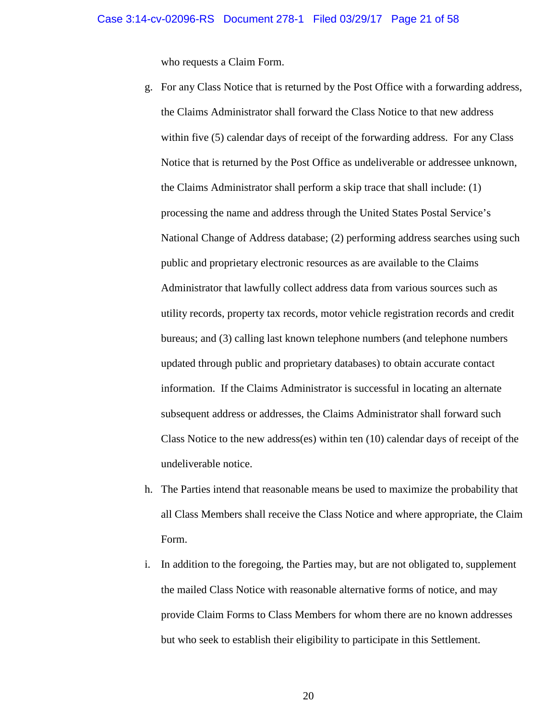who requests a Claim Form.

- g. For any Class Notice that is returned by the Post Office with a forwarding address, the Claims Administrator shall forward the Class Notice to that new address within five (5) calendar days of receipt of the forwarding address. For any Class Notice that is returned by the Post Office as undeliverable or addressee unknown, the Claims Administrator shall perform a skip trace that shall include: (1) processing the name and address through the United States Postal Service's National Change of Address database; (2) performing address searches using such public and proprietary electronic resources as are available to the Claims Administrator that lawfully collect address data from various sources such as utility records, property tax records, motor vehicle registration records and credit bureaus; and (3) calling last known telephone numbers (and telephone numbers updated through public and proprietary databases) to obtain accurate contact information. If the Claims Administrator is successful in locating an alternate subsequent address or addresses, the Claims Administrator shall forward such Class Notice to the new address(es) within ten (10) calendar days of receipt of the undeliverable notice.
- h. The Parties intend that reasonable means be used to maximize the probability that all Class Members shall receive the Class Notice and where appropriate, the Claim Form.
- i. In addition to the foregoing, the Parties may, but are not obligated to, supplement the mailed Class Notice with reasonable alternative forms of notice, and may provide Claim Forms to Class Members for whom there are no known addresses but who seek to establish their eligibility to participate in this Settlement.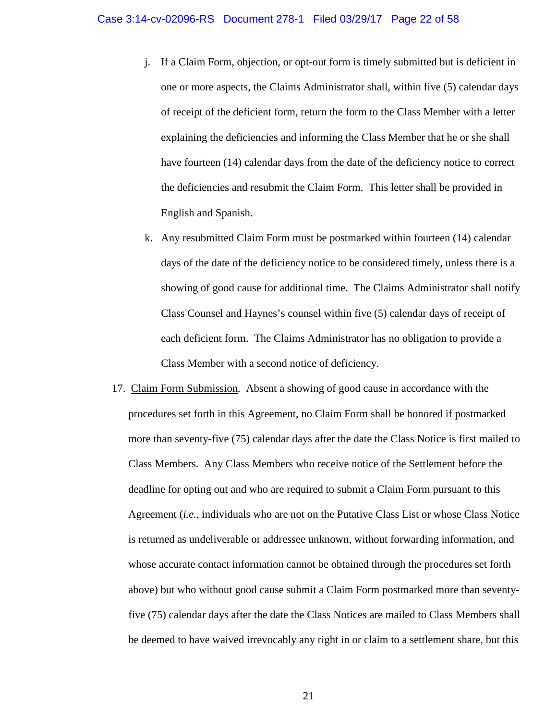- j. If a Claim Form, objection, or opt-out form is timely submitted but is deficient in one or more aspects, the Claims Administrator shall, within five (5) calendar days of receipt of the deficient form, return the form to the Class Member with a letter explaining the deficiencies and informing the Class Member that he or she shall have fourteen (14) calendar days from the date of the deficiency notice to correct the deficiencies and resubmit the Claim Form. This letter shall be provided in English and Spanish.
- k. Any resubmitted Claim Form must be postmarked within fourteen (14) calendar days of the date of the deficiency notice to be considered timely, unless there is a showing of good cause for additional time. The Claims Administrator shall notify Class Counsel and Haynes's counsel within five (5) calendar days of receipt of each deficient form. The Claims Administrator has no obligation to provide a Class Member with a second notice of deficiency.
- 17. Claim Form Submission. Absent a showing of good cause in accordance with the procedures set forth in this Agreement, no Claim Form shall be honored if postmarked more than seventy-five (75) calendar days after the date the Class Notice is first mailed to Class Members. Any Class Members who receive notice of the Settlement before the deadline for opting out and who are required to submit a Claim Form pursuant to this Agreement (*i.e.,* individuals who are not on the Putative Class List or whose Class Notice is returned as undeliverable or addressee unknown, without forwarding information, and whose accurate contact information cannot be obtained through the procedures set forth above) but who without good cause submit a Claim Form postmarked more than seventyfive (75) calendar days after the date the Class Notices are mailed to Class Members shall be deemed to have waived irrevocably any right in or claim to a settlement share, but this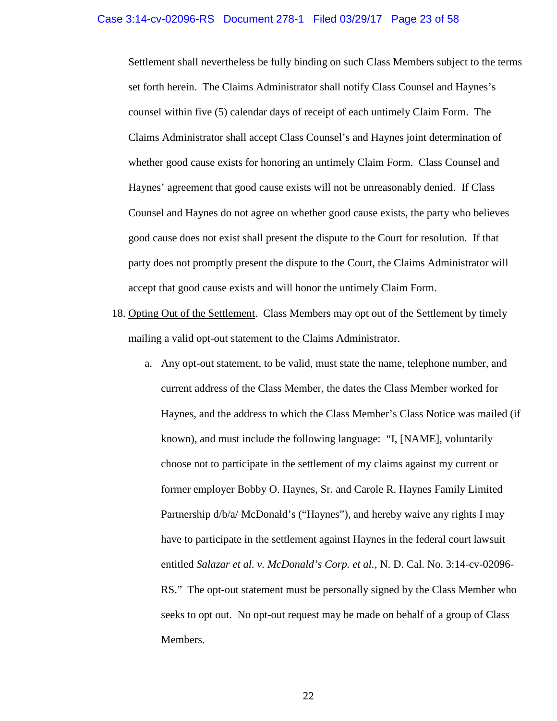## Case 3:14-cv-02096-RS Document 278-1 Filed 03/29/17 Page 23 of 58

Settlement shall nevertheless be fully binding on such Class Members subject to the terms set forth herein. The Claims Administrator shall notify Class Counsel and Haynes's counsel within five (5) calendar days of receipt of each untimely Claim Form. The Claims Administrator shall accept Class Counsel's and Haynes joint determination of whether good cause exists for honoring an untimely Claim Form. Class Counsel and Haynes' agreement that good cause exists will not be unreasonably denied. If Class Counsel and Haynes do not agree on whether good cause exists, the party who believes good cause does not exist shall present the dispute to the Court for resolution. If that party does not promptly present the dispute to the Court, the Claims Administrator will accept that good cause exists and will honor the untimely Claim Form.

- 18. Opting Out of the Settlement. Class Members may opt out of the Settlement by timely mailing a valid opt-out statement to the Claims Administrator.
	- a. Any opt-out statement, to be valid, must state the name, telephone number, and current address of the Class Member, the dates the Class Member worked for Haynes, and the address to which the Class Member's Class Notice was mailed (if known), and must include the following language: "I, [NAME], voluntarily choose not to participate in the settlement of my claims against my current or former employer Bobby O. Haynes, Sr. and Carole R. Haynes Family Limited Partnership d/b/a/ McDonald's ("Haynes"), and hereby waive any rights I may have to participate in the settlement against Haynes in the federal court lawsuit entitled *Salazar et al. v. McDonald's Corp. et al.*, N. D. Cal. No. 3:14-cv-02096- RS." The opt-out statement must be personally signed by the Class Member who seeks to opt out. No opt-out request may be made on behalf of a group of Class Members.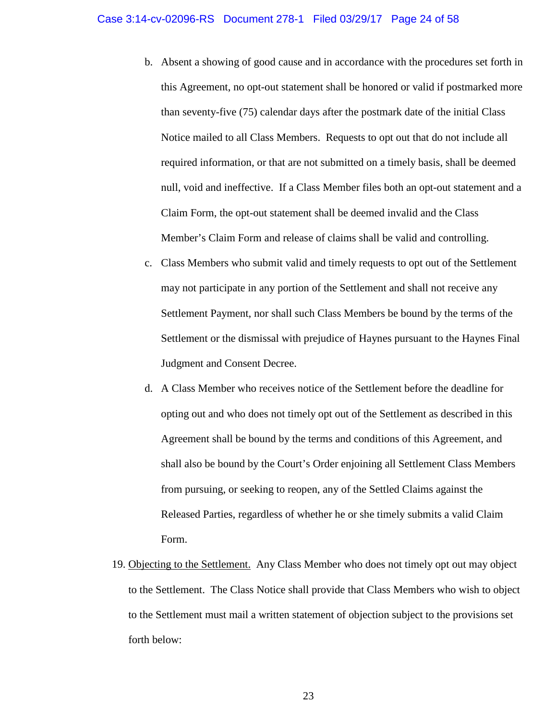- b. Absent a showing of good cause and in accordance with the procedures set forth in this Agreement, no opt-out statement shall be honored or valid if postmarked more than seventy-five (75) calendar days after the postmark date of the initial Class Notice mailed to all Class Members. Requests to opt out that do not include all required information, or that are not submitted on a timely basis, shall be deemed null, void and ineffective. If a Class Member files both an opt-out statement and a Claim Form, the opt-out statement shall be deemed invalid and the Class Member's Claim Form and release of claims shall be valid and controlling.
- c. Class Members who submit valid and timely requests to opt out of the Settlement may not participate in any portion of the Settlement and shall not receive any Settlement Payment, nor shall such Class Members be bound by the terms of the Settlement or the dismissal with prejudice of Haynes pursuant to the Haynes Final Judgment and Consent Decree.
- d. A Class Member who receives notice of the Settlement before the deadline for opting out and who does not timely opt out of the Settlement as described in this Agreement shall be bound by the terms and conditions of this Agreement, and shall also be bound by the Court's Order enjoining all Settlement Class Members from pursuing, or seeking to reopen, any of the Settled Claims against the Released Parties, regardless of whether he or she timely submits a valid Claim Form.
- 19. Objecting to the Settlement. Any Class Member who does not timely opt out may object to the Settlement. The Class Notice shall provide that Class Members who wish to object to the Settlement must mail a written statement of objection subject to the provisions set forth below: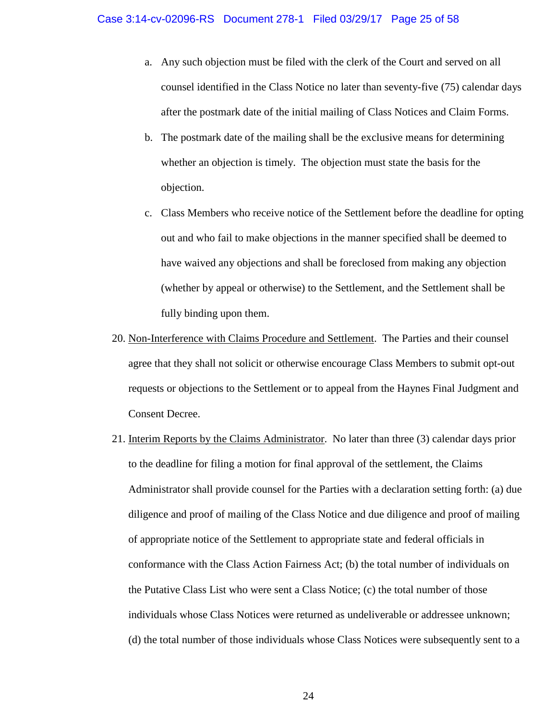- a. Any such objection must be filed with the clerk of the Court and served on all counsel identified in the Class Notice no later than seventy-five (75) calendar days after the postmark date of the initial mailing of Class Notices and Claim Forms.
- b. The postmark date of the mailing shall be the exclusive means for determining whether an objection is timely. The objection must state the basis for the objection.
- c. Class Members who receive notice of the Settlement before the deadline for opting out and who fail to make objections in the manner specified shall be deemed to have waived any objections and shall be foreclosed from making any objection (whether by appeal or otherwise) to the Settlement, and the Settlement shall be fully binding upon them.
- 20. Non-Interference with Claims Procedure and Settlement. The Parties and their counsel agree that they shall not solicit or otherwise encourage Class Members to submit opt-out requests or objections to the Settlement or to appeal from the Haynes Final Judgment and Consent Decree.
- 21. Interim Reports by the Claims Administrator. No later than three (3) calendar days prior to the deadline for filing a motion for final approval of the settlement, the Claims Administrator shall provide counsel for the Parties with a declaration setting forth: (a) due diligence and proof of mailing of the Class Notice and due diligence and proof of mailing of appropriate notice of the Settlement to appropriate state and federal officials in conformance with the Class Action Fairness Act; (b) the total number of individuals on the Putative Class List who were sent a Class Notice; (c) the total number of those individuals whose Class Notices were returned as undeliverable or addressee unknown; (d) the total number of those individuals whose Class Notices were subsequently sent to a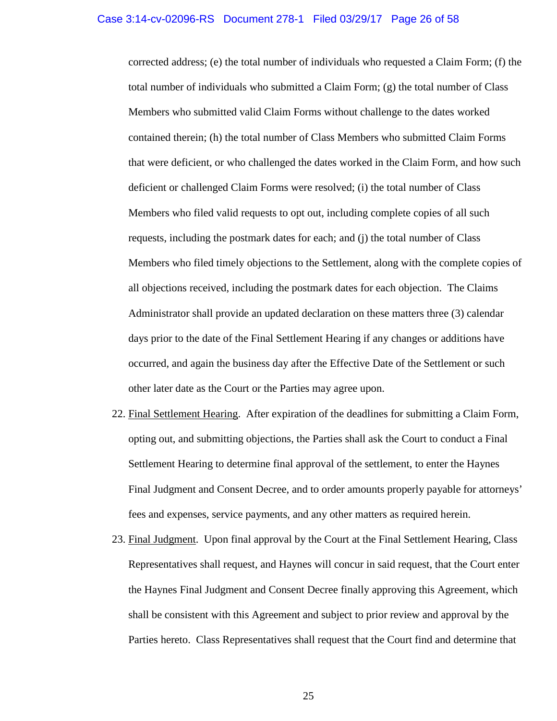corrected address; (e) the total number of individuals who requested a Claim Form; (f) the total number of individuals who submitted a Claim Form; (g) the total number of Class Members who submitted valid Claim Forms without challenge to the dates worked contained therein; (h) the total number of Class Members who submitted Claim Forms that were deficient, or who challenged the dates worked in the Claim Form, and how such deficient or challenged Claim Forms were resolved; (i) the total number of Class Members who filed valid requests to opt out, including complete copies of all such requests, including the postmark dates for each; and (j) the total number of Class Members who filed timely objections to the Settlement, along with the complete copies of all objections received, including the postmark dates for each objection. The Claims Administrator shall provide an updated declaration on these matters three (3) calendar days prior to the date of the Final Settlement Hearing if any changes or additions have occurred, and again the business day after the Effective Date of the Settlement or such other later date as the Court or the Parties may agree upon.

- 22. Final Settlement Hearing. After expiration of the deadlines for submitting a Claim Form, opting out, and submitting objections, the Parties shall ask the Court to conduct a Final Settlement Hearing to determine final approval of the settlement, to enter the Haynes Final Judgment and Consent Decree, and to order amounts properly payable for attorneys' fees and expenses, service payments, and any other matters as required herein.
- 23. Final Judgment. Upon final approval by the Court at the Final Settlement Hearing, Class Representatives shall request, and Haynes will concur in said request, that the Court enter the Haynes Final Judgment and Consent Decree finally approving this Agreement, which shall be consistent with this Agreement and subject to prior review and approval by the Parties hereto. Class Representatives shall request that the Court find and determine that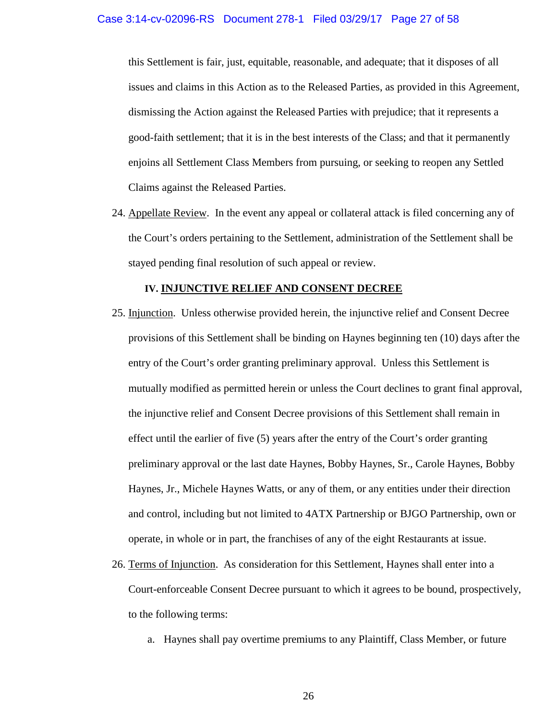this Settlement is fair, just, equitable, reasonable, and adequate; that it disposes of all issues and claims in this Action as to the Released Parties, as provided in this Agreement, dismissing the Action against the Released Parties with prejudice; that it represents a good-faith settlement; that it is in the best interests of the Class; and that it permanently enjoins all Settlement Class Members from pursuing, or seeking to reopen any Settled Claims against the Released Parties.

24. Appellate Review. In the event any appeal or collateral attack is filed concerning any of the Court's orders pertaining to the Settlement, administration of the Settlement shall be stayed pending final resolution of such appeal or review.

## **IV. INJUNCTIVE RELIEF AND CONSENT DECREE**

- 25. Injunction. Unless otherwise provided herein, the injunctive relief and Consent Decree provisions of this Settlement shall be binding on Haynes beginning ten (10) days after the entry of the Court's order granting preliminary approval. Unless this Settlement is mutually modified as permitted herein or unless the Court declines to grant final approval, the injunctive relief and Consent Decree provisions of this Settlement shall remain in effect until the earlier of five (5) years after the entry of the Court's order granting preliminary approval or the last date Haynes, Bobby Haynes, Sr., Carole Haynes, Bobby Haynes, Jr., Michele Haynes Watts, or any of them, or any entities under their direction and control, including but not limited to 4ATX Partnership or BJGO Partnership, own or operate, in whole or in part, the franchises of any of the eight Restaurants at issue.
- 26. Terms of Injunction. As consideration for this Settlement, Haynes shall enter into a Court-enforceable Consent Decree pursuant to which it agrees to be bound, prospectively, to the following terms:
	- a. Haynes shall pay overtime premiums to any Plaintiff, Class Member, or future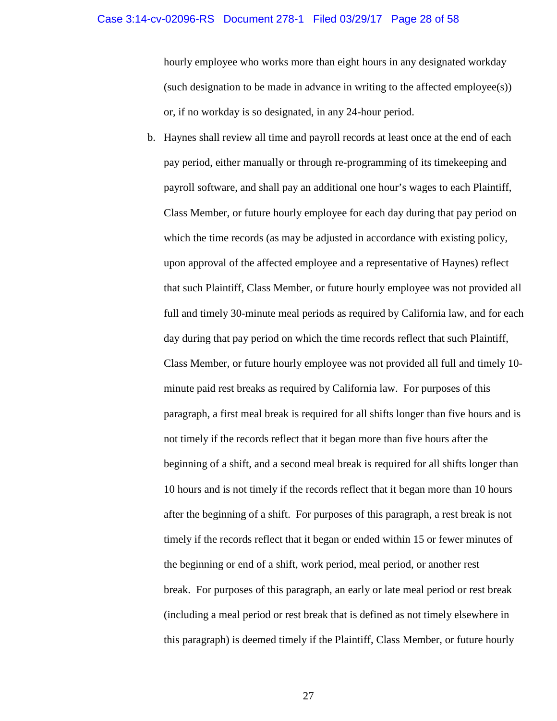## Case 3:14-cv-02096-RS Document 278-1 Filed 03/29/17 Page 28 of 58

hourly employee who works more than eight hours in any designated workday (such designation to be made in advance in writing to the affected employee(s)) or, if no workday is so designated, in any 24-hour period.

b. Haynes shall review all time and payroll records at least once at the end of each pay period, either manually or through re-programming of its timekeeping and payroll software, and shall pay an additional one hour's wages to each Plaintiff, Class Member, or future hourly employee for each day during that pay period on which the time records (as may be adjusted in accordance with existing policy, upon approval of the affected employee and a representative of Haynes) reflect that such Plaintiff, Class Member, or future hourly employee was not provided all full and timely 30-minute meal periods as required by California law, and for each day during that pay period on which the time records reflect that such Plaintiff, Class Member, or future hourly employee was not provided all full and timely 10 minute paid rest breaks as required by California law. For purposes of this paragraph, a first meal break is required for all shifts longer than five hours and is not timely if the records reflect that it began more than five hours after the beginning of a shift, and a second meal break is required for all shifts longer than 10 hours and is not timely if the records reflect that it began more than 10 hours after the beginning of a shift. For purposes of this paragraph, a rest break is not timely if the records reflect that it began or ended within 15 or fewer minutes of the beginning or end of a shift, work period, meal period, or another rest break. For purposes of this paragraph, an early or late meal period or rest break (including a meal period or rest break that is defined as not timely elsewhere in this paragraph) is deemed timely if the Plaintiff, Class Member, or future hourly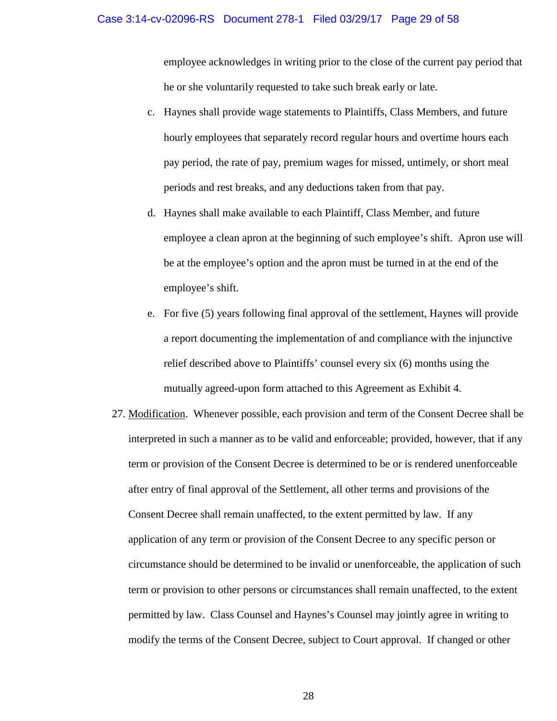#### Case 3:14-cv-02096-RS Document 278-1 Filed 03/29/17 Page 29 of 58

employee acknowledges in writing prior to the close of the current pay period that he or she voluntarily requested to take such break early or late.

- c. Haynes shall provide wage statements to Plaintiffs, Class Members, and future hourly employees that separately record regular hours and overtime hours each pay period, the rate of pay, premium wages for missed, untimely, or short meal periods and rest breaks, and any deductions taken from that pay.
- d. Haynes shall make available to each Plaintiff, Class Member, and future employee a clean apron at the beginning of such employee's shift. Apron use will be at the employee's option and the apron must be turned in at the end of the employee's shift.
- e. For five (5) years following final approval of the settlement, Haynes will provide a report documenting the implementation of and compliance with the injunctive relief described above to Plaintiffs' counsel every six (6) months using the mutually agreed-upon form attached to this Agreement as Exhibit 4.
- 27. Modification. Whenever possible, each provision and term of the Consent Decree shall be interpreted in such a manner as to be valid and enforceable; provided, however, that if any term or provision of the Consent Decree is determined to be or is rendered unenforceable after entry of final approval of the Settlement, all other terms and provisions of the Consent Decree shall remain unaffected, to the extent permitted by law. If any application of any term or provision of the Consent Decree to any specific person or circumstance should be determined to be invalid or unenforceable, the application of such term or provision to other persons or circumstances shall remain unaffected, to the extent permitted by law. Class Counsel and Haynes's Counsel may jointly agree in writing to modify the terms of the Consent Decree, subject to Court approval. If changed or other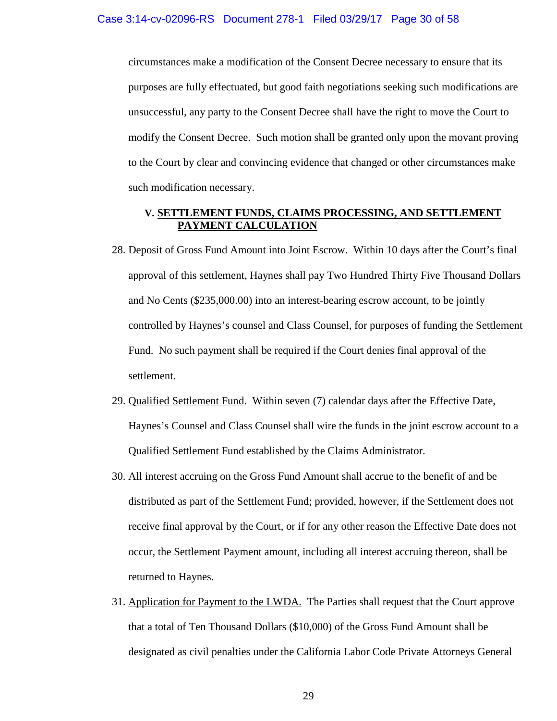circumstances make a modification of the Consent Decree necessary to ensure that its purposes are fully effectuated, but good faith negotiations seeking such modifications are unsuccessful, any party to the Consent Decree shall have the right to move the Court to modify the Consent Decree. Such motion shall be granted only upon the movant proving to the Court by clear and convincing evidence that changed or other circumstances make such modification necessary.

# **V. SETTLEMENT FUNDS, CLAIMS PROCESSING, AND SETTLEMENT PAYMENT CALCULATION**

- 28. Deposit of Gross Fund Amount into Joint Escrow. Within 10 days after the Court's final approval of this settlement, Haynes shall pay Two Hundred Thirty Five Thousand Dollars and No Cents (\$235,000.00) into an interest-bearing escrow account, to be jointly controlled by Haynes's counsel and Class Counsel, for purposes of funding the Settlement Fund. No such payment shall be required if the Court denies final approval of the settlement.
- 29. Qualified Settlement Fund. Within seven (7) calendar days after the Effective Date, Haynes's Counsel and Class Counsel shall wire the funds in the joint escrow account to a Qualified Settlement Fund established by the Claims Administrator.
- 30. All interest accruing on the Gross Fund Amount shall accrue to the benefit of and be distributed as part of the Settlement Fund; provided, however, if the Settlement does not receive final approval by the Court, or if for any other reason the Effective Date does not occur, the Settlement Payment amount, including all interest accruing thereon, shall be returned to Haynes.
- 31. Application for Payment to the LWDA. The Parties shall request that the Court approve that a total of Ten Thousand Dollars (\$10,000) of the Gross Fund Amount shall be designated as civil penalties under the California Labor Code Private Attorneys General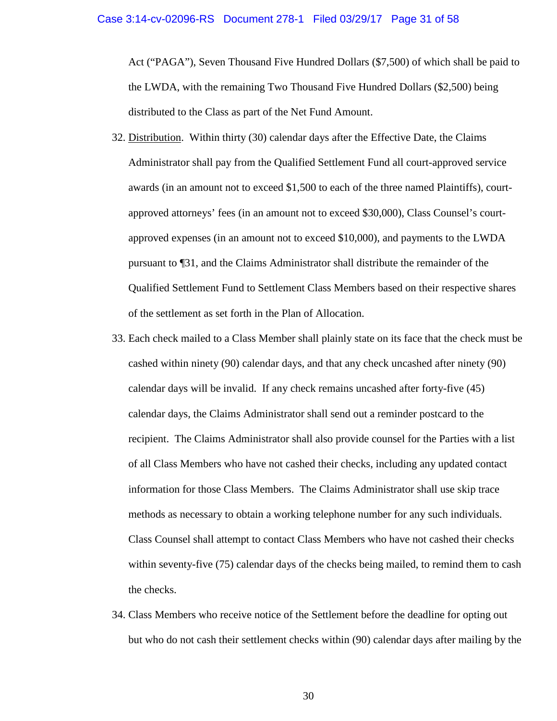Act ("PAGA"), Seven Thousand Five Hundred Dollars (\$7,500) of which shall be paid to the LWDA, with the remaining Two Thousand Five Hundred Dollars (\$2,500) being distributed to the Class as part of the Net Fund Amount.

- 32. Distribution. Within thirty (30) calendar days after the Effective Date, the Claims Administrator shall pay from the Qualified Settlement Fund all court-approved service awards (in an amount not to exceed \$1,500 to each of the three named Plaintiffs), courtapproved attorneys' fees (in an amount not to exceed \$30,000), Class Counsel's courtapproved expenses (in an amount not to exceed \$10,000), and payments to the LWDA pursuant to ¶31, and the Claims Administrator shall distribute the remainder of the Qualified Settlement Fund to Settlement Class Members based on their respective shares of the settlement as set forth in the Plan of Allocation.
- 33. Each check mailed to a Class Member shall plainly state on its face that the check must be cashed within ninety (90) calendar days, and that any check uncashed after ninety (90) calendar days will be invalid. If any check remains uncashed after forty-five (45) calendar days, the Claims Administrator shall send out a reminder postcard to the recipient. The Claims Administrator shall also provide counsel for the Parties with a list of all Class Members who have not cashed their checks, including any updated contact information for those Class Members. The Claims Administrator shall use skip trace methods as necessary to obtain a working telephone number for any such individuals. Class Counsel shall attempt to contact Class Members who have not cashed their checks within seventy-five (75) calendar days of the checks being mailed, to remind them to cash the checks.
- 34. Class Members who receive notice of the Settlement before the deadline for opting out but who do not cash their settlement checks within (90) calendar days after mailing by the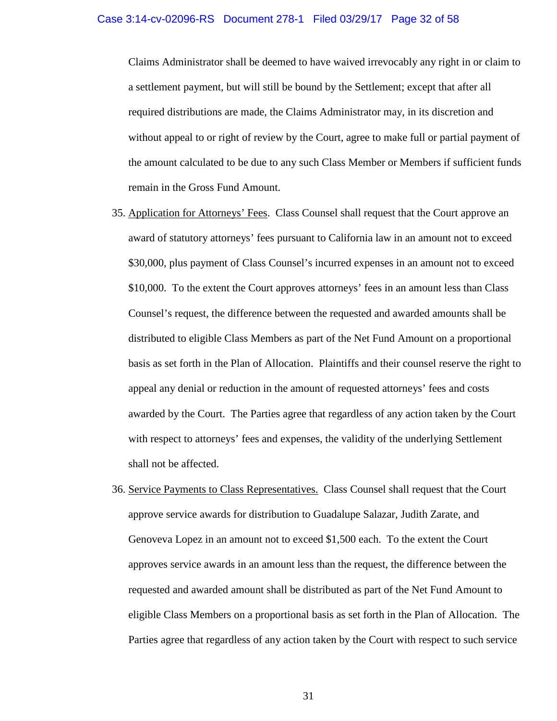Claims Administrator shall be deemed to have waived irrevocably any right in or claim to a settlement payment, but will still be bound by the Settlement; except that after all required distributions are made, the Claims Administrator may, in its discretion and without appeal to or right of review by the Court, agree to make full or partial payment of the amount calculated to be due to any such Class Member or Members if sufficient funds remain in the Gross Fund Amount.

- 35. Application for Attorneys' Fees. Class Counsel shall request that the Court approve an award of statutory attorneys' fees pursuant to California law in an amount not to exceed \$30,000, plus payment of Class Counsel's incurred expenses in an amount not to exceed \$10,000. To the extent the Court approves attorneys' fees in an amount less than Class Counsel's request, the difference between the requested and awarded amounts shall be distributed to eligible Class Members as part of the Net Fund Amount on a proportional basis as set forth in the Plan of Allocation. Plaintiffs and their counsel reserve the right to appeal any denial or reduction in the amount of requested attorneys' fees and costs awarded by the Court. The Parties agree that regardless of any action taken by the Court with respect to attorneys' fees and expenses, the validity of the underlying Settlement shall not be affected.
- 36. Service Payments to Class Representatives. Class Counsel shall request that the Court approve service awards for distribution to Guadalupe Salazar, Judith Zarate, and Genoveva Lopez in an amount not to exceed \$1,500 each. To the extent the Court approves service awards in an amount less than the request, the difference between the requested and awarded amount shall be distributed as part of the Net Fund Amount to eligible Class Members on a proportional basis as set forth in the Plan of Allocation. The Parties agree that regardless of any action taken by the Court with respect to such service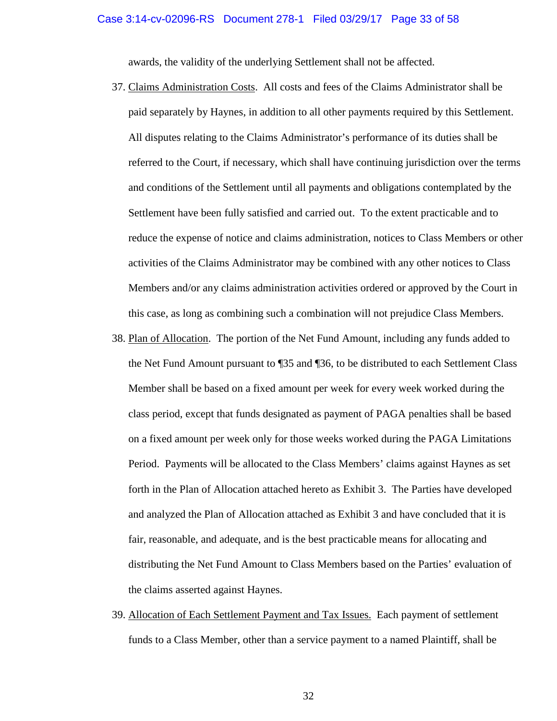awards, the validity of the underlying Settlement shall not be affected.

- 37. Claims Administration Costs. All costs and fees of the Claims Administrator shall be paid separately by Haynes, in addition to all other payments required by this Settlement. All disputes relating to the Claims Administrator's performance of its duties shall be referred to the Court, if necessary, which shall have continuing jurisdiction over the terms and conditions of the Settlement until all payments and obligations contemplated by the Settlement have been fully satisfied and carried out. To the extent practicable and to reduce the expense of notice and claims administration, notices to Class Members or other activities of the Claims Administrator may be combined with any other notices to Class Members and/or any claims administration activities ordered or approved by the Court in this case, as long as combining such a combination will not prejudice Class Members.
- 38. Plan of Allocation. The portion of the Net Fund Amount, including any funds added to the Net Fund Amount pursuant to ¶35 and ¶36, to be distributed to each Settlement Class Member shall be based on a fixed amount per week for every week worked during the class period, except that funds designated as payment of PAGA penalties shall be based on a fixed amount per week only for those weeks worked during the PAGA Limitations Period. Payments will be allocated to the Class Members' claims against Haynes as set forth in the Plan of Allocation attached hereto as Exhibit 3. The Parties have developed and analyzed the Plan of Allocation attached as Exhibit 3 and have concluded that it is fair, reasonable, and adequate, and is the best practicable means for allocating and distributing the Net Fund Amount to Class Members based on the Parties' evaluation of the claims asserted against Haynes.
- 39. Allocation of Each Settlement Payment and Tax Issues. Each payment of settlement funds to a Class Member, other than a service payment to a named Plaintiff, shall be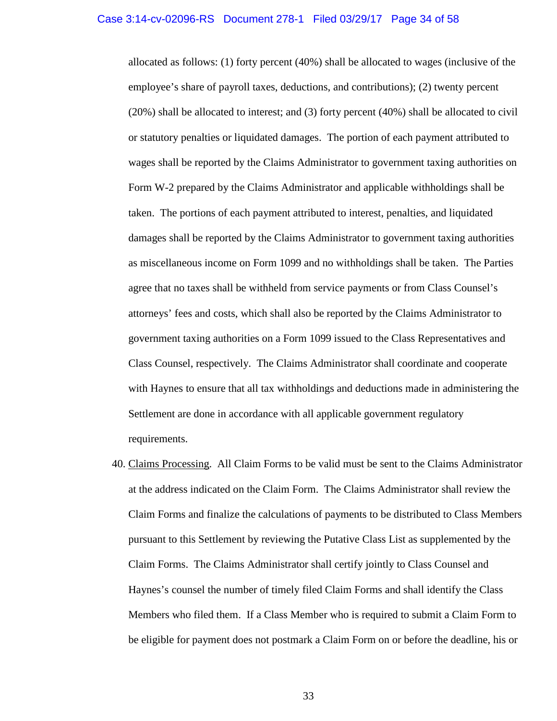allocated as follows: (1) forty percent (40%) shall be allocated to wages (inclusive of the employee's share of payroll taxes, deductions, and contributions); (2) twenty percent (20%) shall be allocated to interest; and (3) forty percent (40%) shall be allocated to civil or statutory penalties or liquidated damages. The portion of each payment attributed to wages shall be reported by the Claims Administrator to government taxing authorities on Form W-2 prepared by the Claims Administrator and applicable withholdings shall be taken. The portions of each payment attributed to interest, penalties, and liquidated damages shall be reported by the Claims Administrator to government taxing authorities as miscellaneous income on Form 1099 and no withholdings shall be taken. The Parties agree that no taxes shall be withheld from service payments or from Class Counsel's attorneys' fees and costs, which shall also be reported by the Claims Administrator to government taxing authorities on a Form 1099 issued to the Class Representatives and Class Counsel, respectively. The Claims Administrator shall coordinate and cooperate with Haynes to ensure that all tax withholdings and deductions made in administering the Settlement are done in accordance with all applicable government regulatory requirements.

40. Claims Processing. All Claim Forms to be valid must be sent to the Claims Administrator at the address indicated on the Claim Form. The Claims Administrator shall review the Claim Forms and finalize the calculations of payments to be distributed to Class Members pursuant to this Settlement by reviewing the Putative Class List as supplemented by the Claim Forms. The Claims Administrator shall certify jointly to Class Counsel and Haynes's counsel the number of timely filed Claim Forms and shall identify the Class Members who filed them. If a Class Member who is required to submit a Claim Form to be eligible for payment does not postmark a Claim Form on or before the deadline, his or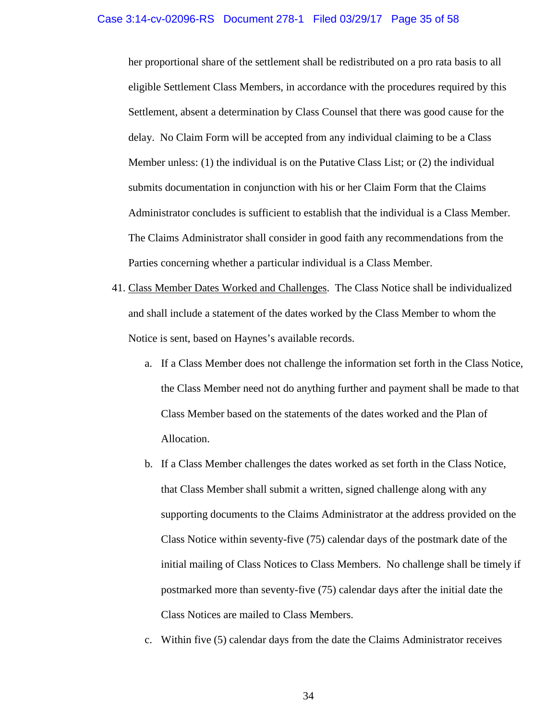her proportional share of the settlement shall be redistributed on a pro rata basis to all eligible Settlement Class Members, in accordance with the procedures required by this Settlement, absent a determination by Class Counsel that there was good cause for the delay. No Claim Form will be accepted from any individual claiming to be a Class Member unless: (1) the individual is on the Putative Class List; or (2) the individual submits documentation in conjunction with his or her Claim Form that the Claims Administrator concludes is sufficient to establish that the individual is a Class Member. The Claims Administrator shall consider in good faith any recommendations from the Parties concerning whether a particular individual is a Class Member.

- 41. Class Member Dates Worked and Challenges. The Class Notice shall be individualized and shall include a statement of the dates worked by the Class Member to whom the Notice is sent, based on Haynes's available records.
	- a. If a Class Member does not challenge the information set forth in the Class Notice, the Class Member need not do anything further and payment shall be made to that Class Member based on the statements of the dates worked and the Plan of Allocation.
	- b. If a Class Member challenges the dates worked as set forth in the Class Notice, that Class Member shall submit a written, signed challenge along with any supporting documents to the Claims Administrator at the address provided on the Class Notice within seventy-five (75) calendar days of the postmark date of the initial mailing of Class Notices to Class Members. No challenge shall be timely if postmarked more than seventy-five (75) calendar days after the initial date the Class Notices are mailed to Class Members.
	- c. Within five (5) calendar days from the date the Claims Administrator receives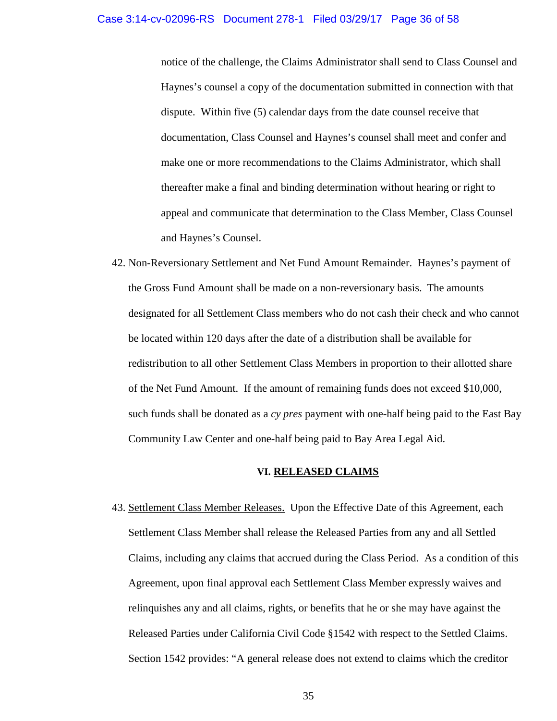#### Case 3:14-cv-02096-RS Document 278-1 Filed 03/29/17 Page 36 of 58

notice of the challenge, the Claims Administrator shall send to Class Counsel and Haynes's counsel a copy of the documentation submitted in connection with that dispute. Within five (5) calendar days from the date counsel receive that documentation, Class Counsel and Haynes's counsel shall meet and confer and make one or more recommendations to the Claims Administrator, which shall thereafter make a final and binding determination without hearing or right to appeal and communicate that determination to the Class Member, Class Counsel and Haynes's Counsel.

42. Non-Reversionary Settlement and Net Fund Amount Remainder. Haynes's payment of the Gross Fund Amount shall be made on a non-reversionary basis. The amounts designated for all Settlement Class members who do not cash their check and who cannot be located within 120 days after the date of a distribution shall be available for redistribution to all other Settlement Class Members in proportion to their allotted share of the Net Fund Amount. If the amount of remaining funds does not exceed \$10,000, such funds shall be donated as a *cy pres* payment with one-half being paid to the East Bay Community Law Center and one-half being paid to Bay Area Legal Aid.

# **VI. RELEASED CLAIMS**

43. Settlement Class Member Releases. Upon the Effective Date of this Agreement, each Settlement Class Member shall release the Released Parties from any and all Settled Claims, including any claims that accrued during the Class Period. As a condition of this Agreement, upon final approval each Settlement Class Member expressly waives and relinquishes any and all claims, rights, or benefits that he or she may have against the Released Parties under California Civil Code §1542 with respect to the Settled Claims. Section 1542 provides: "A general release does not extend to claims which the creditor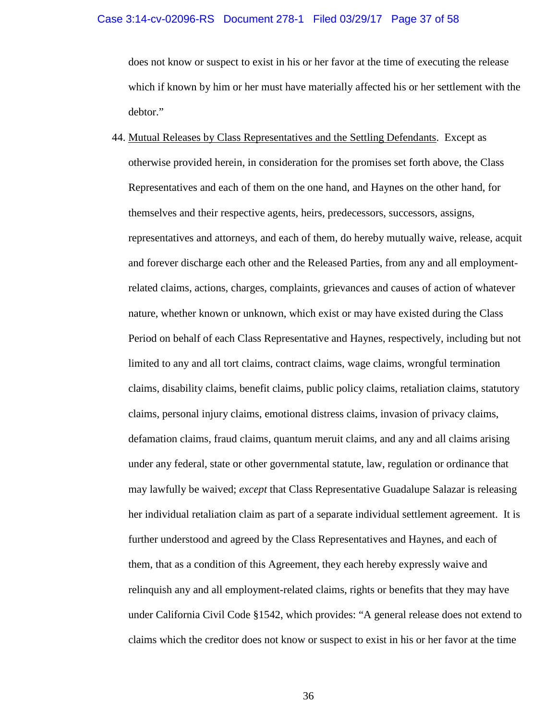## Case 3:14-cv-02096-RS Document 278-1 Filed 03/29/17 Page 37 of 58

does not know or suspect to exist in his or her favor at the time of executing the release which if known by him or her must have materially affected his or her settlement with the debtor."

44. Mutual Releases by Class Representatives and the Settling Defendants. Except as otherwise provided herein, in consideration for the promises set forth above, the Class Representatives and each of them on the one hand, and Haynes on the other hand, for themselves and their respective agents, heirs, predecessors, successors, assigns, representatives and attorneys, and each of them, do hereby mutually waive, release, acquit and forever discharge each other and the Released Parties, from any and all employmentrelated claims, actions, charges, complaints, grievances and causes of action of whatever nature, whether known or unknown, which exist or may have existed during the Class Period on behalf of each Class Representative and Haynes, respectively, including but not limited to any and all tort claims, contract claims, wage claims, wrongful termination claims, disability claims, benefit claims, public policy claims, retaliation claims, statutory claims, personal injury claims, emotional distress claims, invasion of privacy claims, defamation claims, fraud claims, quantum meruit claims, and any and all claims arising under any federal, state or other governmental statute, law, regulation or ordinance that may lawfully be waived; *except* that Class Representative Guadalupe Salazar is releasing her individual retaliation claim as part of a separate individual settlement agreement. It is further understood and agreed by the Class Representatives and Haynes, and each of them, that as a condition of this Agreement, they each hereby expressly waive and relinquish any and all employment-related claims, rights or benefits that they may have under California Civil Code §1542, which provides: "A general release does not extend to claims which the creditor does not know or suspect to exist in his or her favor at the time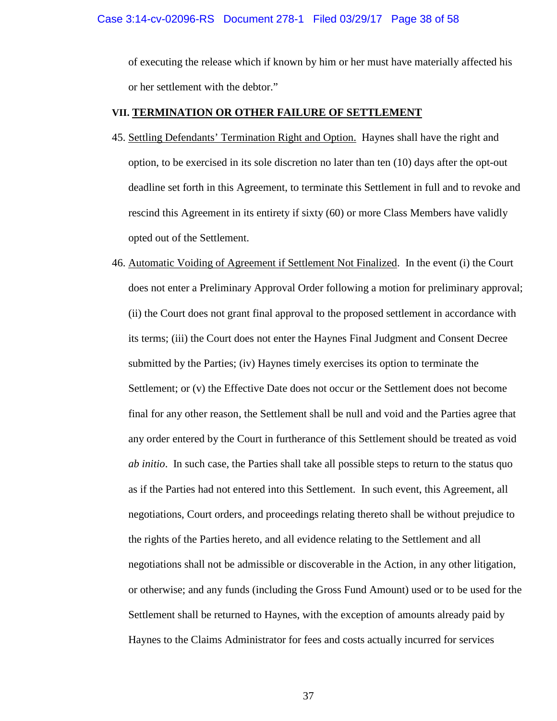of executing the release which if known by him or her must have materially affected his or her settlement with the debtor."

# **VII. TERMINATION OR OTHER FAILURE OF SETTLEMENT**

- 45. Settling Defendants' Termination Right and Option. Haynes shall have the right and option, to be exercised in its sole discretion no later than ten (10) days after the opt-out deadline set forth in this Agreement, to terminate this Settlement in full and to revoke and rescind this Agreement in its entirety if sixty (60) or more Class Members have validly opted out of the Settlement.
- 46. Automatic Voiding of Agreement if Settlement Not Finalized. In the event (i) the Court does not enter a Preliminary Approval Order following a motion for preliminary approval; (ii) the Court does not grant final approval to the proposed settlement in accordance with its terms; (iii) the Court does not enter the Haynes Final Judgment and Consent Decree submitted by the Parties; (iv) Haynes timely exercises its option to terminate the Settlement; or (v) the Effective Date does not occur or the Settlement does not become final for any other reason, the Settlement shall be null and void and the Parties agree that any order entered by the Court in furtherance of this Settlement should be treated as void *ab initio*. In such case, the Parties shall take all possible steps to return to the status quo as if the Parties had not entered into this Settlement. In such event, this Agreement, all negotiations, Court orders, and proceedings relating thereto shall be without prejudice to the rights of the Parties hereto, and all evidence relating to the Settlement and all negotiations shall not be admissible or discoverable in the Action, in any other litigation, or otherwise; and any funds (including the Gross Fund Amount) used or to be used for the Settlement shall be returned to Haynes, with the exception of amounts already paid by Haynes to the Claims Administrator for fees and costs actually incurred for services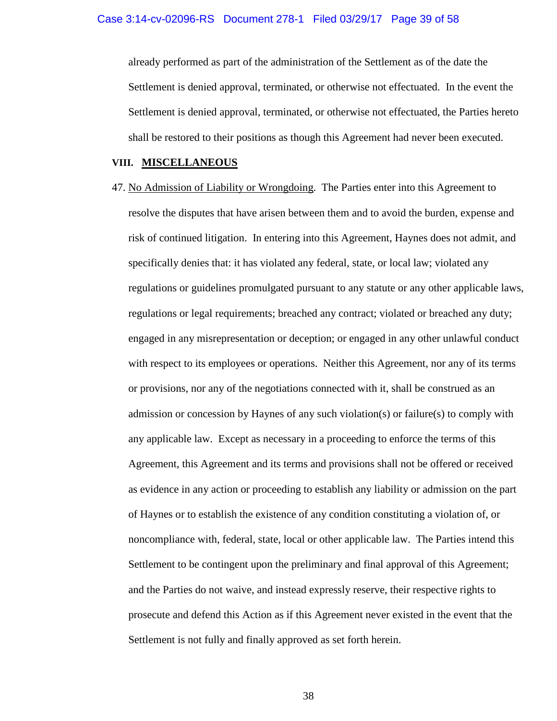already performed as part of the administration of the Settlement as of the date the Settlement is denied approval, terminated, or otherwise not effectuated. In the event the Settlement is denied approval, terminated, or otherwise not effectuated, the Parties hereto shall be restored to their positions as though this Agreement had never been executed.

## **VIII. MISCELLANEOUS**

47. No Admission of Liability or Wrongdoing. The Parties enter into this Agreement to resolve the disputes that have arisen between them and to avoid the burden, expense and risk of continued litigation. In entering into this Agreement, Haynes does not admit, and specifically denies that: it has violated any federal, state, or local law; violated any regulations or guidelines promulgated pursuant to any statute or any other applicable laws, regulations or legal requirements; breached any contract; violated or breached any duty; engaged in any misrepresentation or deception; or engaged in any other unlawful conduct with respect to its employees or operations. Neither this Agreement, nor any of its terms or provisions, nor any of the negotiations connected with it, shall be construed as an admission or concession by Haynes of any such violation(s) or failure(s) to comply with any applicable law. Except as necessary in a proceeding to enforce the terms of this Agreement, this Agreement and its terms and provisions shall not be offered or received as evidence in any action or proceeding to establish any liability or admission on the part of Haynes or to establish the existence of any condition constituting a violation of, or noncompliance with, federal, state, local or other applicable law. The Parties intend this Settlement to be contingent upon the preliminary and final approval of this Agreement; and the Parties do not waive, and instead expressly reserve, their respective rights to prosecute and defend this Action as if this Agreement never existed in the event that the Settlement is not fully and finally approved as set forth herein.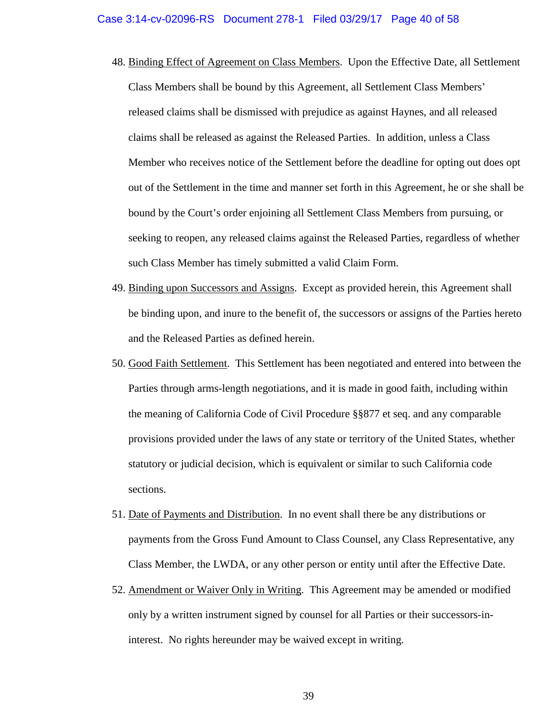- 48. Binding Effect of Agreement on Class Members. Upon the Effective Date, all Settlement Class Members shall be bound by this Agreement, all Settlement Class Members' released claims shall be dismissed with prejudice as against Haynes, and all released claims shall be released as against the Released Parties. In addition, unless a Class Member who receives notice of the Settlement before the deadline for opting out does opt out of the Settlement in the time and manner set forth in this Agreement, he or she shall be bound by the Court's order enjoining all Settlement Class Members from pursuing, or seeking to reopen, any released claims against the Released Parties, regardless of whether such Class Member has timely submitted a valid Claim Form.
- 49. Binding upon Successors and Assigns. Except as provided herein, this Agreement shall be binding upon, and inure to the benefit of, the successors or assigns of the Parties hereto and the Released Parties as defined herein.
- 50. Good Faith Settlement. This Settlement has been negotiated and entered into between the Parties through arms-length negotiations, and it is made in good faith, including within the meaning of California Code of Civil Procedure §§877 et seq. and any comparable provisions provided under the laws of any state or territory of the United States, whether statutory or judicial decision, which is equivalent or similar to such California code sections.
- 51. Date of Payments and Distribution. In no event shall there be any distributions or payments from the Gross Fund Amount to Class Counsel, any Class Representative, any Class Member, the LWDA, or any other person or entity until after the Effective Date.
- 52. Amendment or Waiver Only in Writing. This Agreement may be amended or modified only by a written instrument signed by counsel for all Parties or their successors-ininterest. No rights hereunder may be waived except in writing.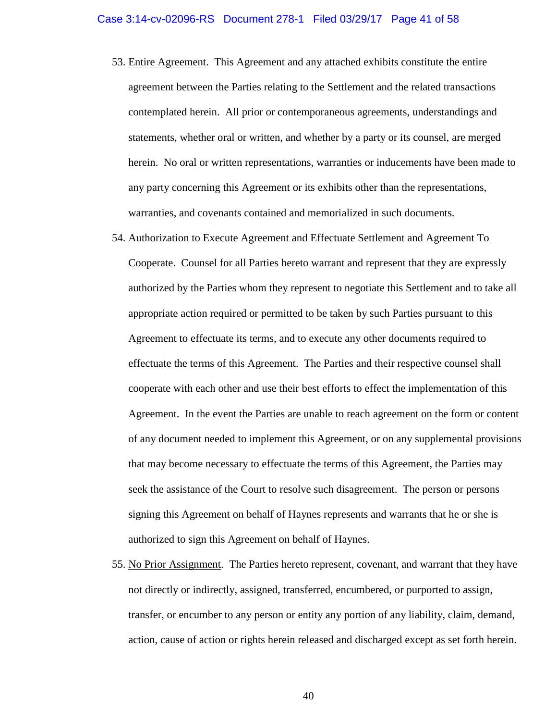- 53. Entire Agreement. This Agreement and any attached exhibits constitute the entire agreement between the Parties relating to the Settlement and the related transactions contemplated herein. All prior or contemporaneous agreements, understandings and statements, whether oral or written, and whether by a party or its counsel, are merged herein. No oral or written representations, warranties or inducements have been made to any party concerning this Agreement or its exhibits other than the representations, warranties, and covenants contained and memorialized in such documents.
- 54. Authorization to Execute Agreement and Effectuate Settlement and Agreement To

Cooperate. Counsel for all Parties hereto warrant and represent that they are expressly authorized by the Parties whom they represent to negotiate this Settlement and to take all appropriate action required or permitted to be taken by such Parties pursuant to this Agreement to effectuate its terms, and to execute any other documents required to effectuate the terms of this Agreement. The Parties and their respective counsel shall cooperate with each other and use their best efforts to effect the implementation of this Agreement. In the event the Parties are unable to reach agreement on the form or content of any document needed to implement this Agreement, or on any supplemental provisions that may become necessary to effectuate the terms of this Agreement, the Parties may seek the assistance of the Court to resolve such disagreement. The person or persons signing this Agreement on behalf of Haynes represents and warrants that he or she is authorized to sign this Agreement on behalf of Haynes.

55. No Prior Assignment. The Parties hereto represent, covenant, and warrant that they have not directly or indirectly, assigned, transferred, encumbered, or purported to assign, transfer, or encumber to any person or entity any portion of any liability, claim, demand, action, cause of action or rights herein released and discharged except as set forth herein.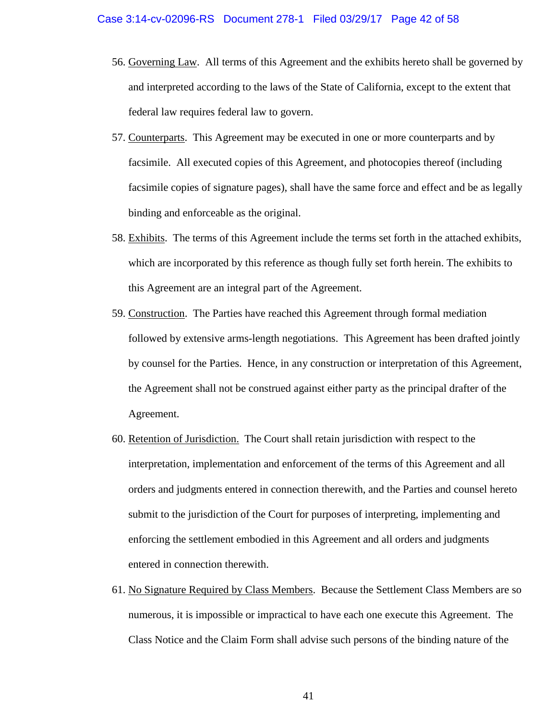- 56. Governing Law. All terms of this Agreement and the exhibits hereto shall be governed by and interpreted according to the laws of the State of California, except to the extent that federal law requires federal law to govern.
- 57. Counterparts. This Agreement may be executed in one or more counterparts and by facsimile. All executed copies of this Agreement, and photocopies thereof (including facsimile copies of signature pages), shall have the same force and effect and be as legally binding and enforceable as the original.
- 58. Exhibits. The terms of this Agreement include the terms set forth in the attached exhibits, which are incorporated by this reference as though fully set forth herein. The exhibits to this Agreement are an integral part of the Agreement.
- 59. Construction. The Parties have reached this Agreement through formal mediation followed by extensive arms-length negotiations. This Agreement has been drafted jointly by counsel for the Parties. Hence, in any construction or interpretation of this Agreement, the Agreement shall not be construed against either party as the principal drafter of the Agreement.
- 60. Retention of Jurisdiction. The Court shall retain jurisdiction with respect to the interpretation, implementation and enforcement of the terms of this Agreement and all orders and judgments entered in connection therewith, and the Parties and counsel hereto submit to the jurisdiction of the Court for purposes of interpreting, implementing and enforcing the settlement embodied in this Agreement and all orders and judgments entered in connection therewith.
- 61. No Signature Required by Class Members. Because the Settlement Class Members are so numerous, it is impossible or impractical to have each one execute this Agreement. The Class Notice and the Claim Form shall advise such persons of the binding nature of the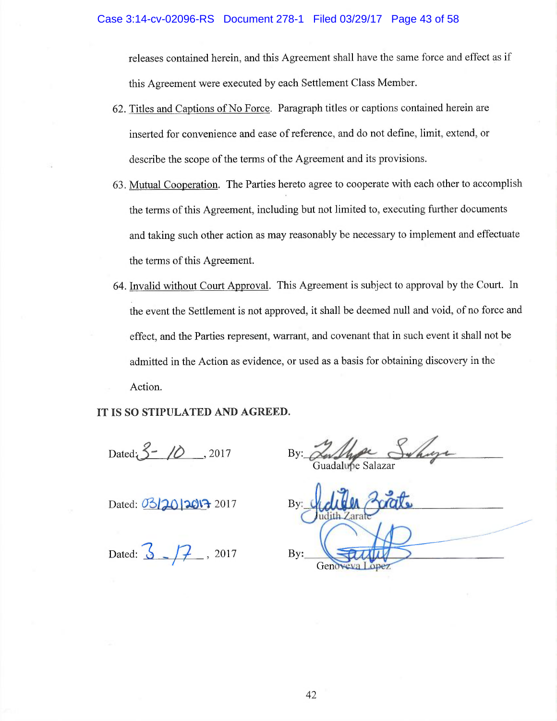releases contained herein, and this Agreement shall have the same force and effect as if this Agreement were executed by each Settlement Class Member.

- 62. Titles and Captions of No Force. Paragraph titles or captions contained herein are inserted for convenience and ease of reference, and do not define, limit, extend, or describe the scope of the terms of the Agreement and its provisions.
- 63. Mutual Cooperation. The Parties hereto agree to cooperate with each other to accomplish the terms of this Agreement, including but not limited to, executing further documents and taking such other action as may reasonably be necessary to implement and effectuate the terms of this Agreement.
- 64. Invalid without Court Approval. This Agreement is subject to approval by the Court. In the event the Settlement is not approved, it shall be deemed null and void, of no force and effect, and the Parties represent, warrant, and covenant that in such event it shall not be admitted in the Action as evidence, or used as a basis for obtaining discovery in the Action.

IT IS SO STIPULATED AND AGREED.

Dated  $3 - 10$ , 2017

Dated: 03/2012013 2017

Dated:  $\frac{3}{5} - \frac{7}{7}$ , 2017

Whole Sunny

 $Bv:$